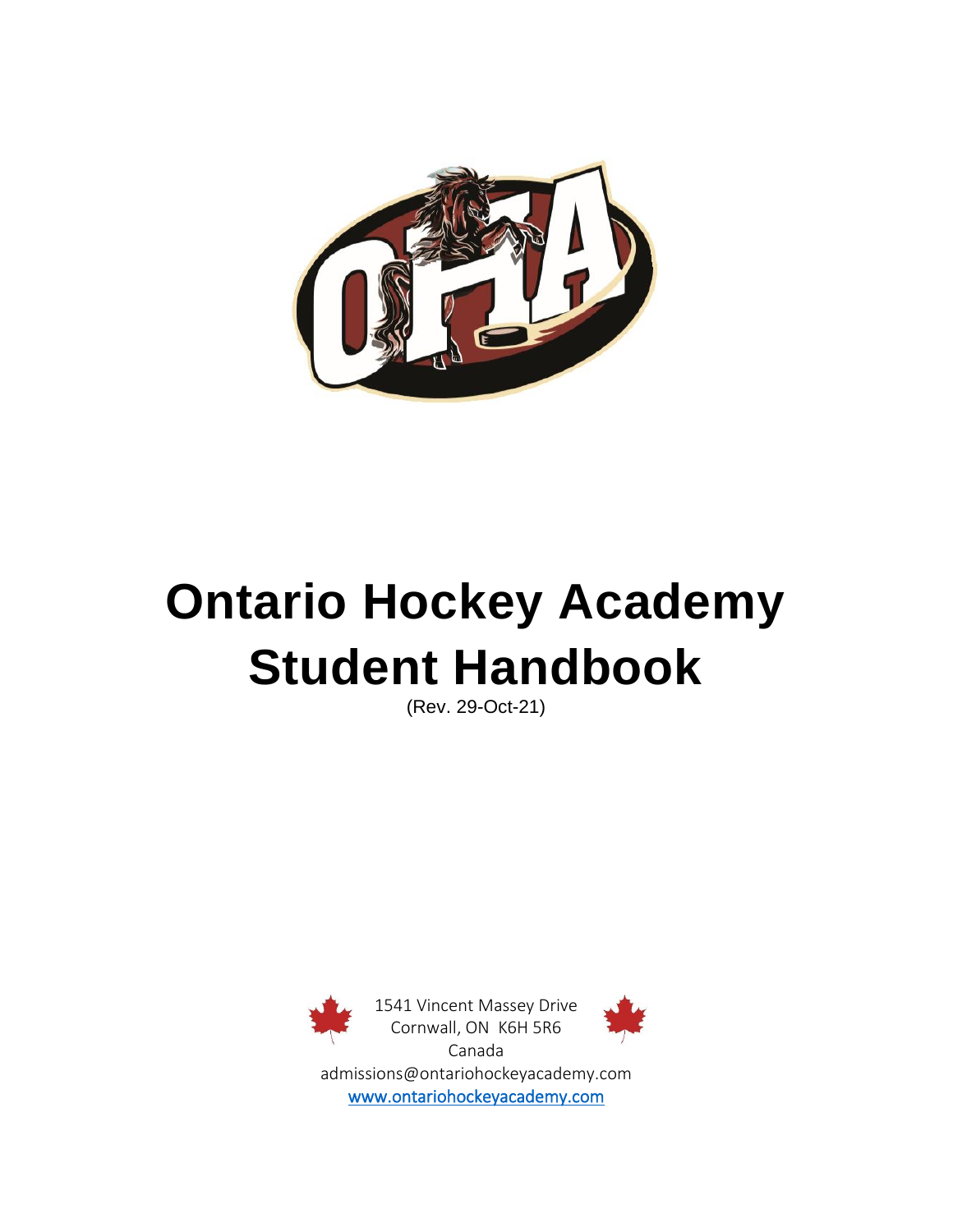

# **Ontario Hockey Academy Student Handbook**

(Rev. 29-Oct-21)

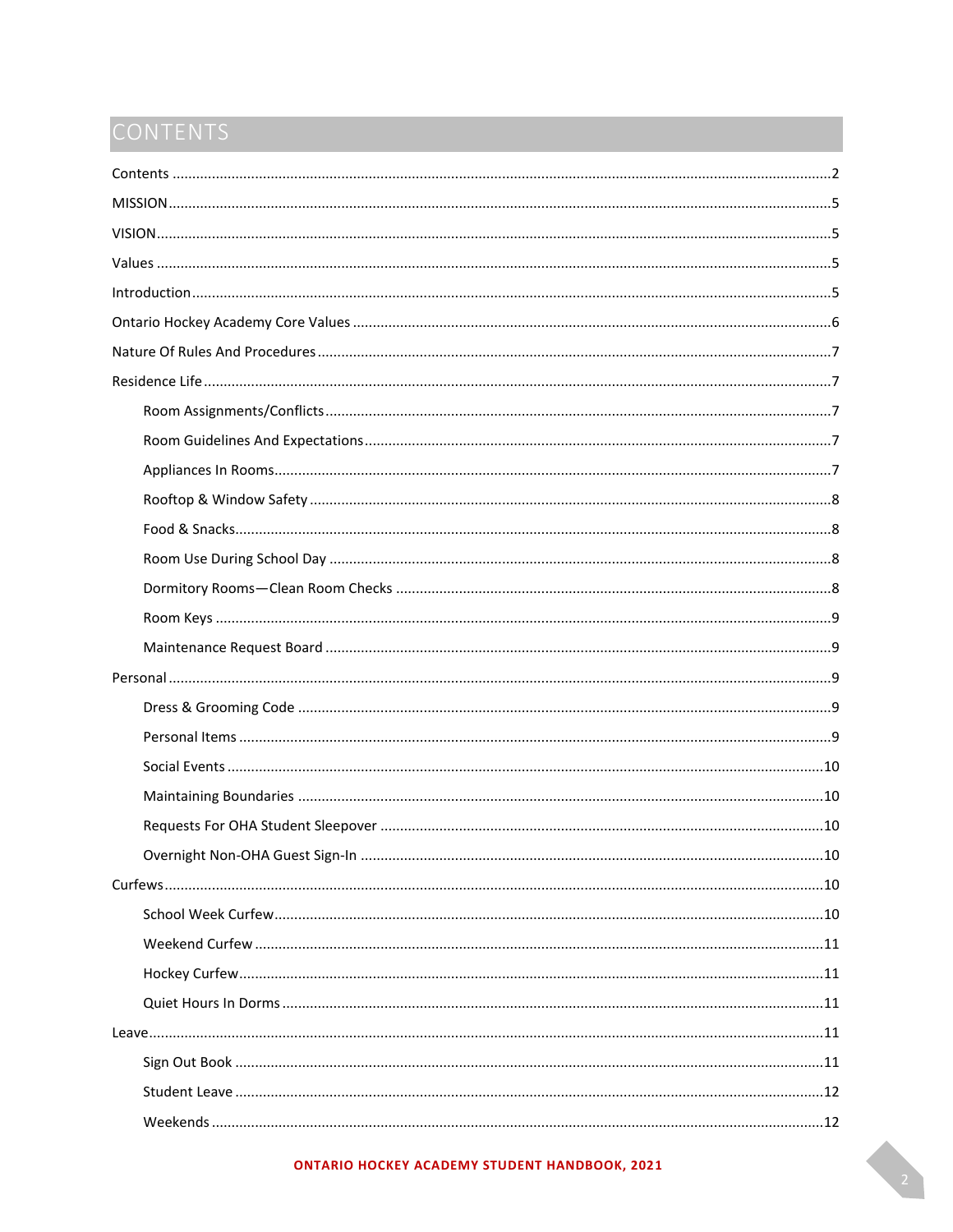# <span id="page-1-0"></span>CONTENTS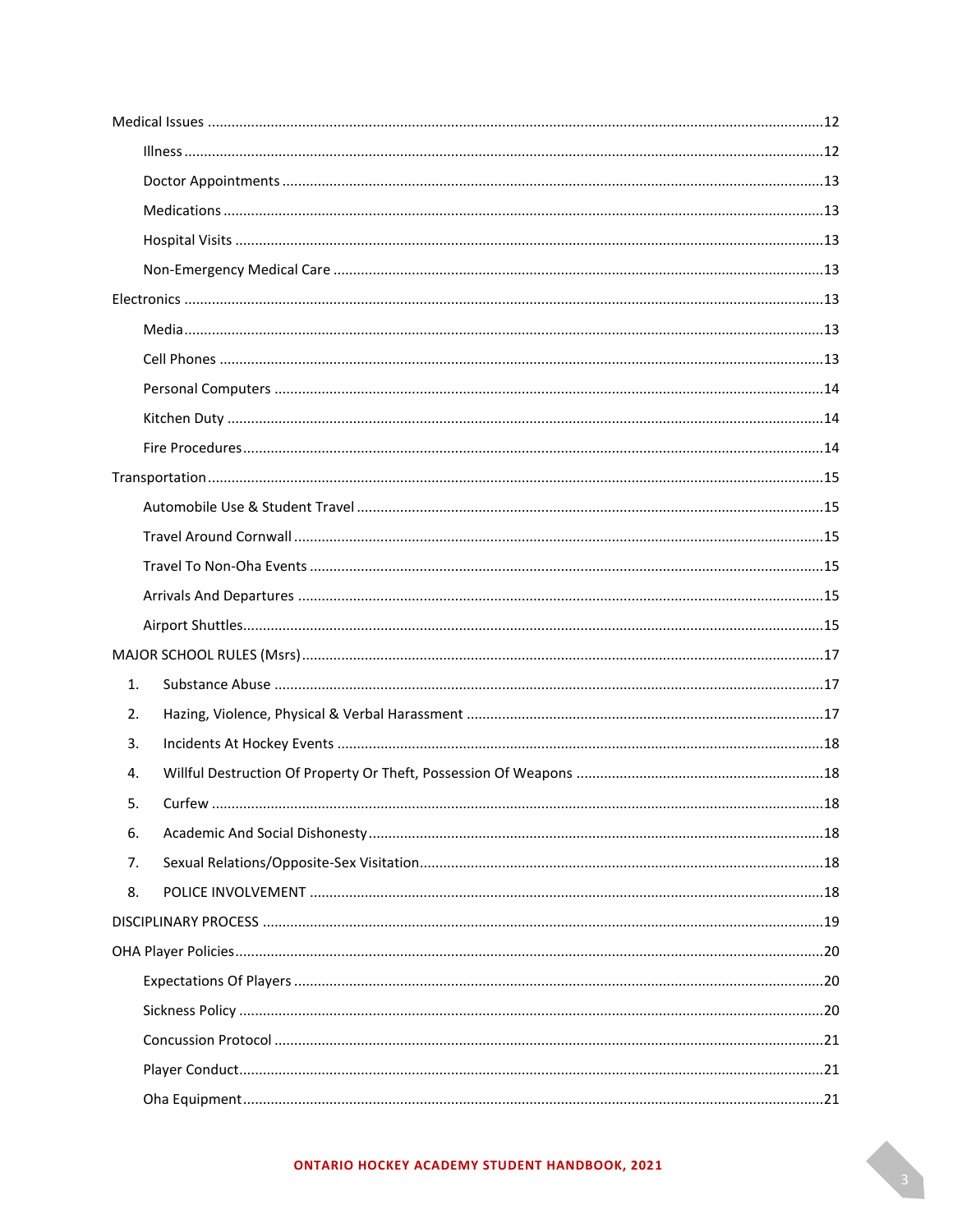| 1. |  |
|----|--|
| 2. |  |
| 3. |  |
| 4. |  |
| 5. |  |
| 6. |  |
| 7. |  |
| 8. |  |
|    |  |
|    |  |
|    |  |
|    |  |
|    |  |
|    |  |
|    |  |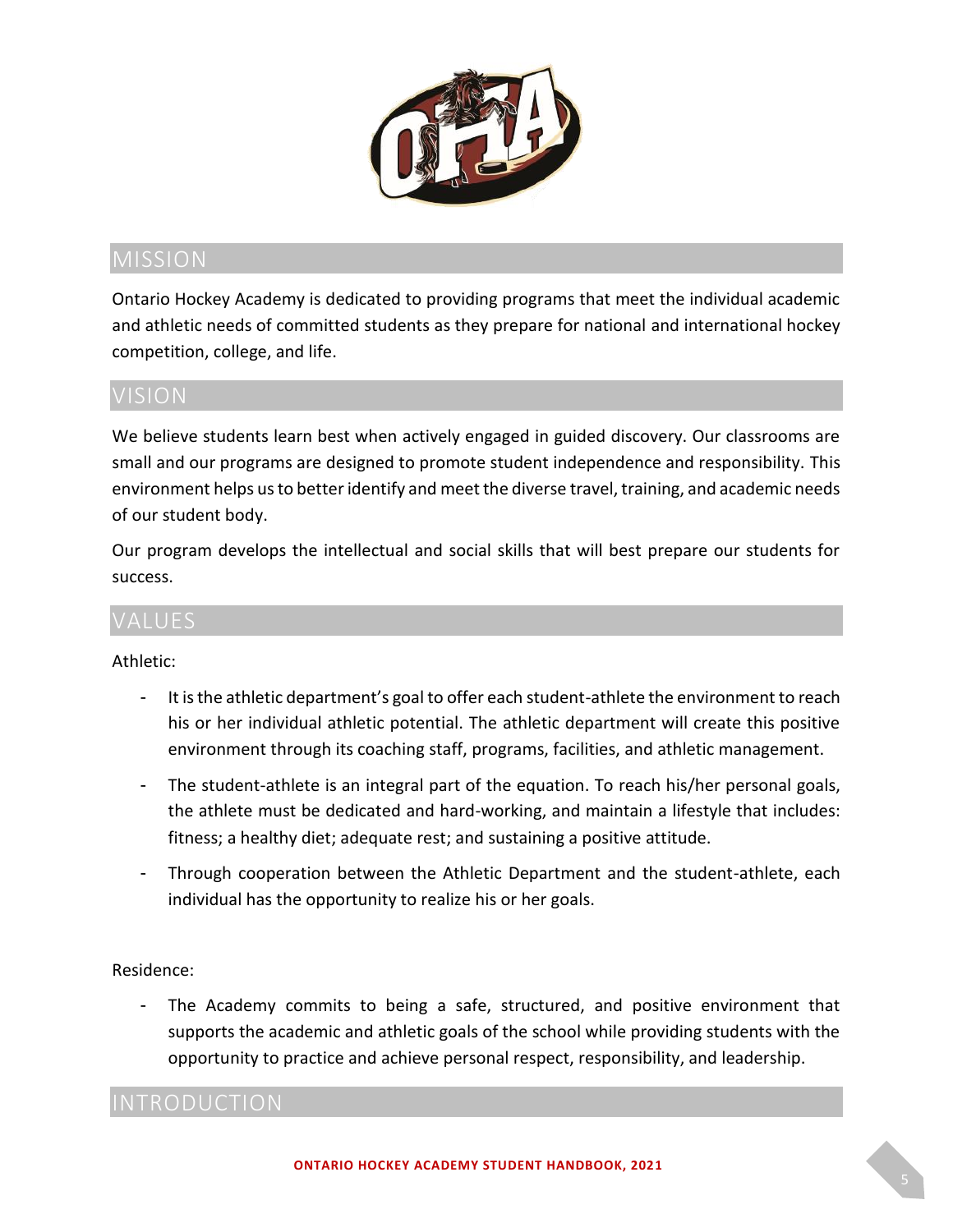

<span id="page-4-0"></span>Ontario Hockey Academy is dedicated to providing programs that meet the individual academic and athletic needs of committed students as they prepare for national and international hockey competition, college, and life.

# <span id="page-4-1"></span>VISION

We believe students learn best when actively engaged in guided discovery. Our classrooms are small and our programs are designed to promote student independence and responsibility. This environment helps us to better identify and meet the diverse travel, training, and academic needs of our student body.

Our program develops the intellectual and social skills that will best prepare our students for success.

# <span id="page-4-2"></span>VALUES

### Athletic:

- It is the athletic department's goal to offer each student-athlete the environment to reach his or her individual athletic potential. The athletic department will create this positive environment through its coaching staff, programs, facilities, and athletic management.
- The student-athlete is an integral part of the equation. To reach his/her personal goals, the athlete must be dedicated and hard-working, and maintain a lifestyle that includes: fitness; a healthy diet; adequate rest; and sustaining a positive attitude.
- Through cooperation between the Athletic Department and the student-athlete, each individual has the opportunity to realize his or her goals.

### Residence:

The Academy commits to being a safe, structured, and positive environment that supports the academic and athletic goals of the school while providing students with the opportunity to practice and achieve personal respect, responsibility, and leadership.

<span id="page-4-3"></span>INTRODUCTION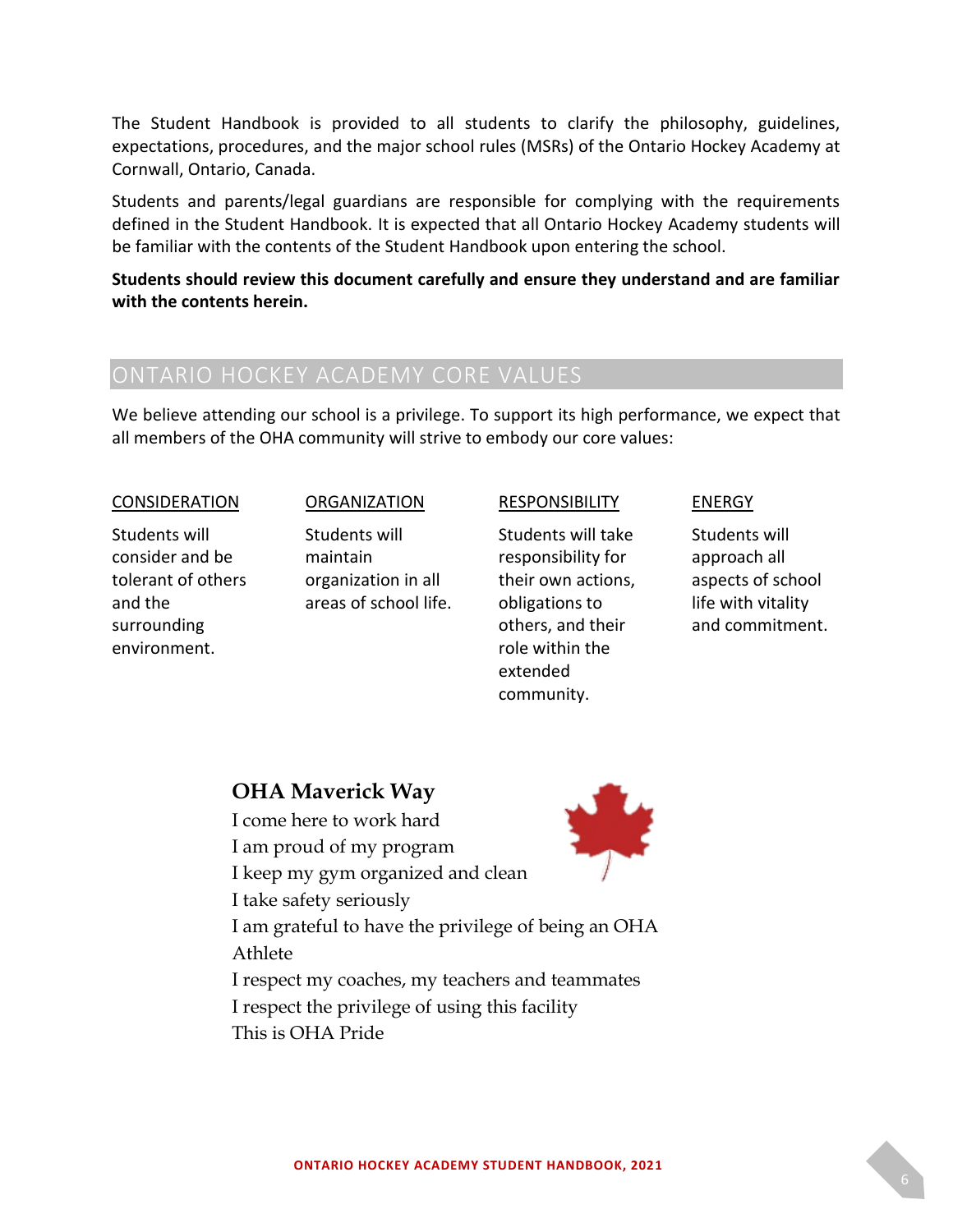The Student Handbook is provided to all students to clarify the philosophy, guidelines, expectations, procedures, and the major school rules (MSRs) of the Ontario Hockey Academy at Cornwall, Ontario, Canada.

Students and parents/legal guardians are responsible for complying with the requirements defined in the Student Handbook. It is expected that all Ontario Hockey Academy students will be familiar with the contents of the Student Handbook upon entering the school.

**Students should review this document carefully and ensure they understand and are familiar with the contents herein.**

<span id="page-5-0"></span>We believe attending our school is a privilege. To support its high performance, we expect that all members of the OHA community will strive to embody our core values:

#### **CONSIDERATION**

Students will consider and be tolerant of others and the surrounding environment.

#### ORGANIZATION

Students will maintain organization in all areas of school life.

#### RESPONSIBILITY

Students will take responsibility for their own actions, obligations to others, and their role within the extended community.

#### **ENERGY**

Students will approach all aspects of school life with vitality and commitment.

### **OHA Maverick Way**

I come here to work hard

I am proud of my program

I keep my gym organized and clean

I take safety seriously



I am grateful to have the privilege of being an OHA Athlete

I respect my coaches, my teachers and teammates I respect the privilege of using this facility This is OHA Pride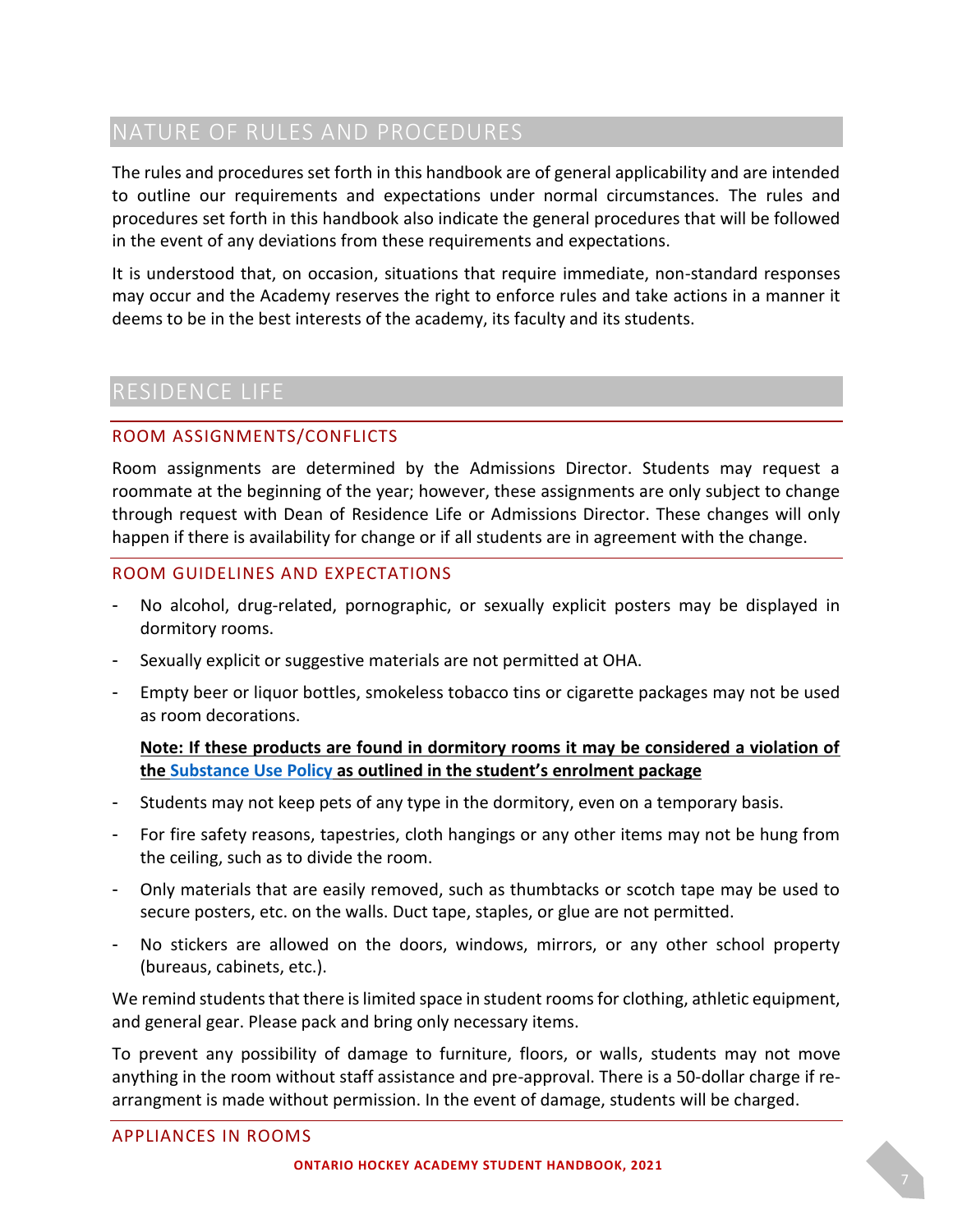# <span id="page-6-0"></span>NATURE OF RULES AND PROCEDURES

The rules and procedures set forth in this handbook are of general applicability and are intended to outline our requirements and expectations under normal circumstances. The rules and procedures set forth in this handbook also indicate the general procedures that will be followed in the event of any deviations from these requirements and expectations.

It is understood that, on occasion, situations that require immediate, non-standard responses may occur and the Academy reserves the right to enforce rules and take actions in a manner it deems to be in the best interests of the academy, its faculty and its students.

# <span id="page-6-1"></span>RESIDENCE LIFE

### <span id="page-6-2"></span>ROOM ASSIGNMENTS/CONFLICTS

Room assignments are determined by the Admissions Director. Students may request a roommate at the beginning of the year; however, these assignments are only subject to change through request with Dean of Residence Life or Admissions Director. These changes will only happen if there is availability for change or if all students are in agreement with the change.

### <span id="page-6-3"></span>ROOM GUIDELINES AND EXPECTATIONS

- No alcohol, drug-related, pornographic, or sexually explicit posters may be displayed in dormitory rooms.
- Sexually explicit or suggestive materials are not permitted at OHA.
- Empty beer or liquor bottles, smokeless tobacco tins or cigarette packages may not be used as room decorations.

### **Note: If these products are found in dormitory rooms it may be considered a violation of the [Substance Use Policy](#page-16-1) as outlined in the student's enrolment package**

- Students may not keep pets of any type in the dormitory, even on a temporary basis.
- For fire safety reasons, tapestries, cloth hangings or any other items may not be hung from the ceiling, such as to divide the room.
- Only materials that are easily removed, such as thumbtacks or scotch tape may be used to secure posters, etc. on the walls. Duct tape, staples, or glue are not permitted.
- No stickers are allowed on the doors, windows, mirrors, or any other school property (bureaus, cabinets, etc.).

We remind students that there is limited space in student rooms for clothing, athletic equipment, and general gear. Please pack and bring only necessary items.

<span id="page-6-4"></span>To prevent any possibility of damage to furniture, floors, or walls, students may not move anything in the room without staff assistance and pre-approval. There is a 50-dollar charge if rearrangment is made without permission. In the event of damage, students will be charged.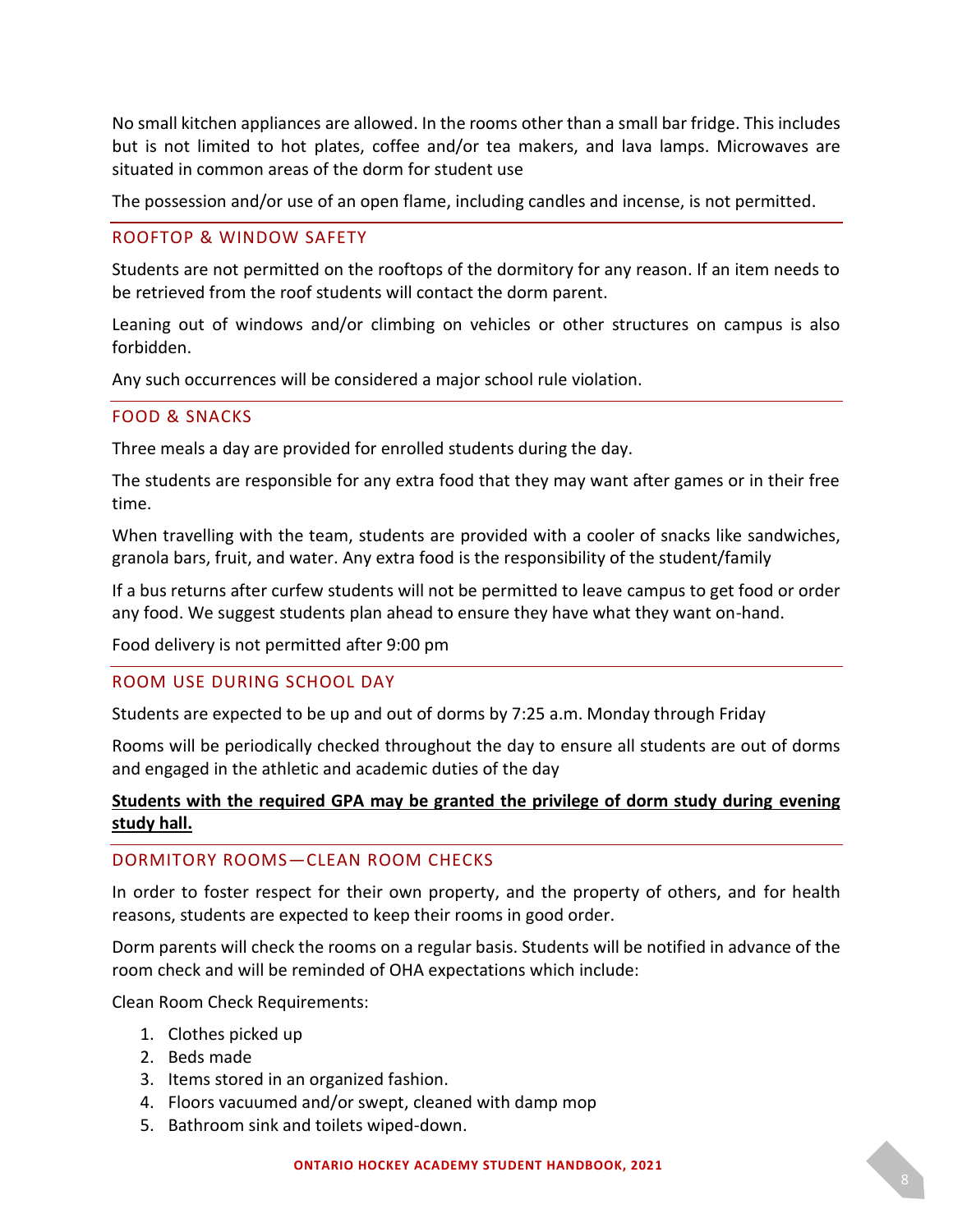No small kitchen appliances are allowed. In the rooms other than a small bar fridge. This includes but is not limited to hot plates, coffee and/or tea makers, and lava lamps. Microwaves are situated in common areas of the dorm for student use

The possession and/or use of an open flame, including candles and incense, is not permitted.

#### <span id="page-7-0"></span>ROOFTOP & WINDOW SAFETY

Students are not permitted on the rooftops of the dormitory for any reason. If an item needs to be retrieved from the roof students will contact the dorm parent.

Leaning out of windows and/or climbing on vehicles or other structures on campus is also forbidden.

Any such occurrences will be considered a major school rule violation.

#### <span id="page-7-1"></span>FOOD & SNACKS

Three meals a day are provided for enrolled students during the day.

The students are responsible for any extra food that they may want after games or in their free time.

When travelling with the team, students are provided with a cooler of snacks like sandwiches, granola bars, fruit, and water. Any extra food is the responsibility of the student/family

If a bus returns after curfew students will not be permitted to leave campus to get food or order any food. We suggest students plan ahead to ensure they have what they want on-hand.

Food delivery is not permitted after 9:00 pm

#### <span id="page-7-2"></span>ROOM USE DURING SCHOOL DAY

Students are expected to be up and out of dorms by 7:25 a.m. Monday through Friday

Rooms will be periodically checked throughout the day to ensure all students are out of dorms and engaged in the athletic and academic duties of the day

### **Students with the required GPA may be granted the privilege of dorm study during evening study hall.**

#### <span id="page-7-3"></span>DORMITORY ROOMS—CLEAN ROOM CHECKS

In order to foster respect for their own property, and the property of others, and for health reasons, students are expected to keep their rooms in good order.

Dorm parents will check the rooms on a regular basis. Students will be notified in advance of the room check and will be reminded of OHA expectations which include:

Clean Room Check Requirements:

- 1. Clothes picked up
- 2. Beds made
- 3. Items stored in an organized fashion.
- 4. Floors vacuumed and/or swept, cleaned with damp mop
- 5. Bathroom sink and toilets wiped-down.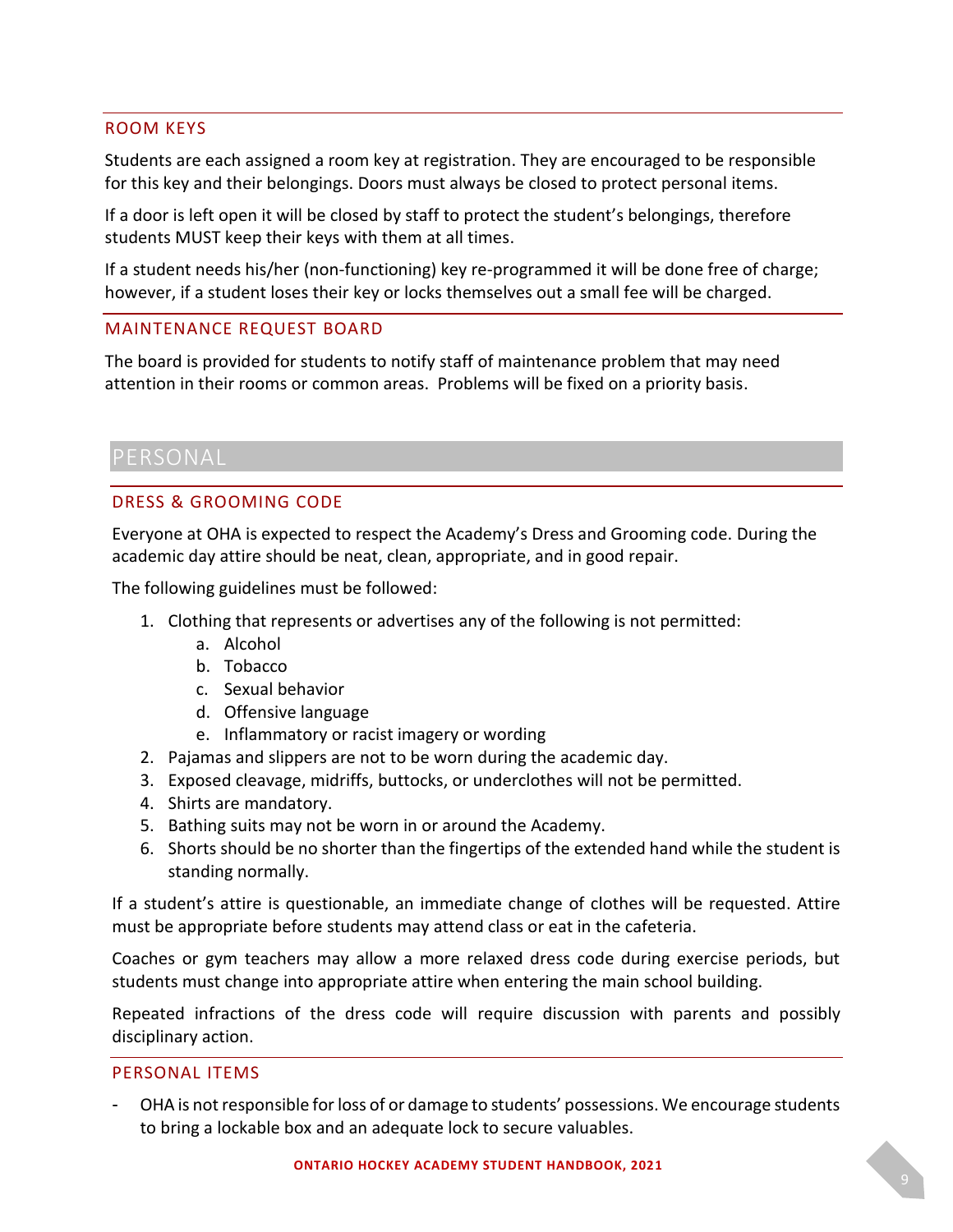#### <span id="page-8-0"></span>ROOM KEYS

Students are each assigned a room key at registration. They are encouraged to be responsible for this key and their belongings. Doors must always be closed to protect personal items.

If a door is left open it will be closed by staff to protect the student's belongings, therefore students MUST keep their keys with them at all times.

If a student needs his/her (non-functioning) key re-programmed it will be done free of charge; however, if a student loses their key or locks themselves out a small fee will be charged.

#### <span id="page-8-1"></span>MAINTENANCE REQUEST BOARD

The board is provided for students to notify staff of maintenance problem that may need attention in their rooms or common areas. Problems will be fixed on a priority basis.

### <span id="page-8-3"></span><span id="page-8-2"></span>DRESS & GROOMING CODE

Everyone at OHA is expected to respect the Academy's Dress and Grooming code. During the academic day attire should be neat, clean, appropriate, and in good repair.

The following guidelines must be followed:

- 1. Clothing that represents or advertises any of the following is not permitted:
	- a. Alcohol
	- b. Tobacco
	- c. Sexual behavior
	- d. Offensive language
	- e. Inflammatory or racist imagery or wording
- 2. Pajamas and slippers are not to be worn during the academic day.
- 3. Exposed cleavage, midriffs, buttocks, or underclothes will not be permitted.
- 4. Shirts are mandatory.
- 5. Bathing suits may not be worn in or around the Academy.
- 6. Shorts should be no shorter than the fingertips of the extended hand while the student is standing normally.

If a student's attire is questionable, an immediate change of clothes will be requested. Attire must be appropriate before students may attend class or eat in the cafeteria.

Coaches or gym teachers may allow a more relaxed dress code during exercise periods, but students must change into appropriate attire when entering the main school building.

Repeated infractions of the dress code will require discussion with parents and possibly disciplinary action.

#### <span id="page-8-4"></span>PERSONAL ITEMS

OHA is not responsible for loss of or damage to students' possessions. We encourage students to bring a lockable box and an adequate lock to secure valuables.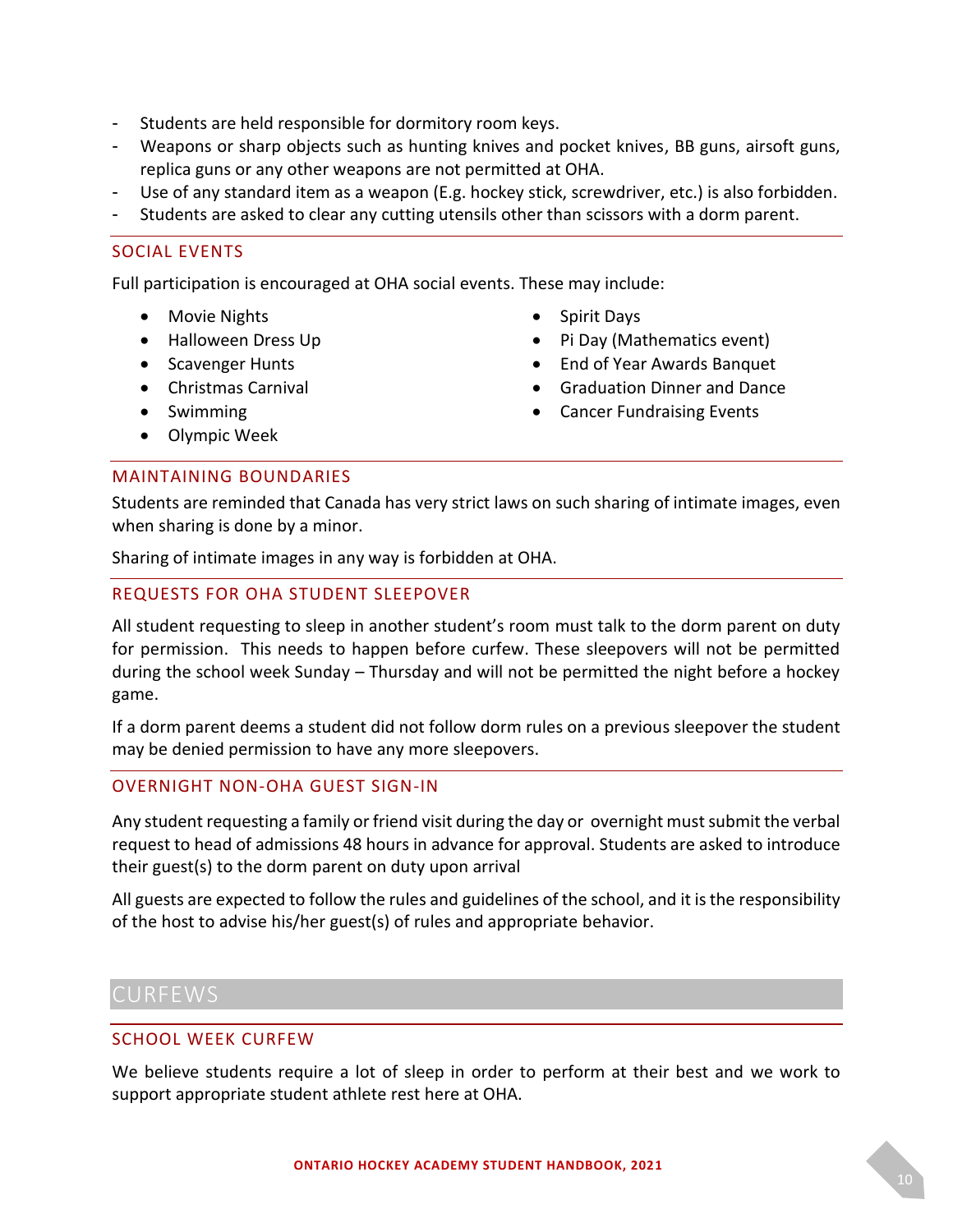- Students are held responsible for dormitory room keys.
- Weapons or sharp objects such as hunting knives and pocket knives, BB guns, airsoft guns, replica guns or any other weapons are not permitted at OHA.
- Use of any standard item as a weapon (E.g. hockey stick, screwdriver, etc.) is also forbidden.
- Students are asked to clear any cutting utensils other than scissors with a dorm parent.

#### <span id="page-9-0"></span>SOCIAL EVENTS

Full participation is encouraged at OHA social events. These may include:

- Movie Nights
- Halloween Dress Up
- Scavenger Hunts
- Christmas Carnival
- Swimming
- Olympic Week
- Spirit Days
- Pi Day (Mathematics event)
- End of Year Awards Banquet
- Graduation Dinner and Dance
- Cancer Fundraising Events

#### <span id="page-9-1"></span>MAINTAINING BOUNDARIES

Students are reminded that Canada has very strict laws on such sharing of intimate images, even when sharing is done by a minor.

Sharing of intimate images in any way is forbidden at OHA.

#### <span id="page-9-2"></span>REQUESTS FOR OHA STUDENT SLEEPOVER

All student requesting to sleep in another student's room must talk to the dorm parent on duty for permission. This needs to happen before curfew. These sleepovers will not be permitted during the school week Sunday – Thursday and will not be permitted the night before a hockey game.

If a dorm parent deems a student did not follow dorm rules on a previous sleepover the student may be denied permission to have any more sleepovers.

#### <span id="page-9-3"></span>OVERNIGHT NON-OHA GUEST SIGN-IN

Any student requesting a family or friend visit during the day or overnight must submit the verbal request to head of admissions 48 hours in advance for approval. Students are asked to introduce their guest(s) to the dorm parent on duty upon arrival

All guests are expected to follow the rules and guidelines of the school, and it is the responsibility of the host to advise his/her guest(s) of rules and appropriate behavior.

# <span id="page-9-4"></span>CURFEWS

#### <span id="page-9-5"></span>SCHOOL WEEK CURFEW

We believe students require a lot of sleep in order to perform at their best and we work to support appropriate student athlete rest here at OHA.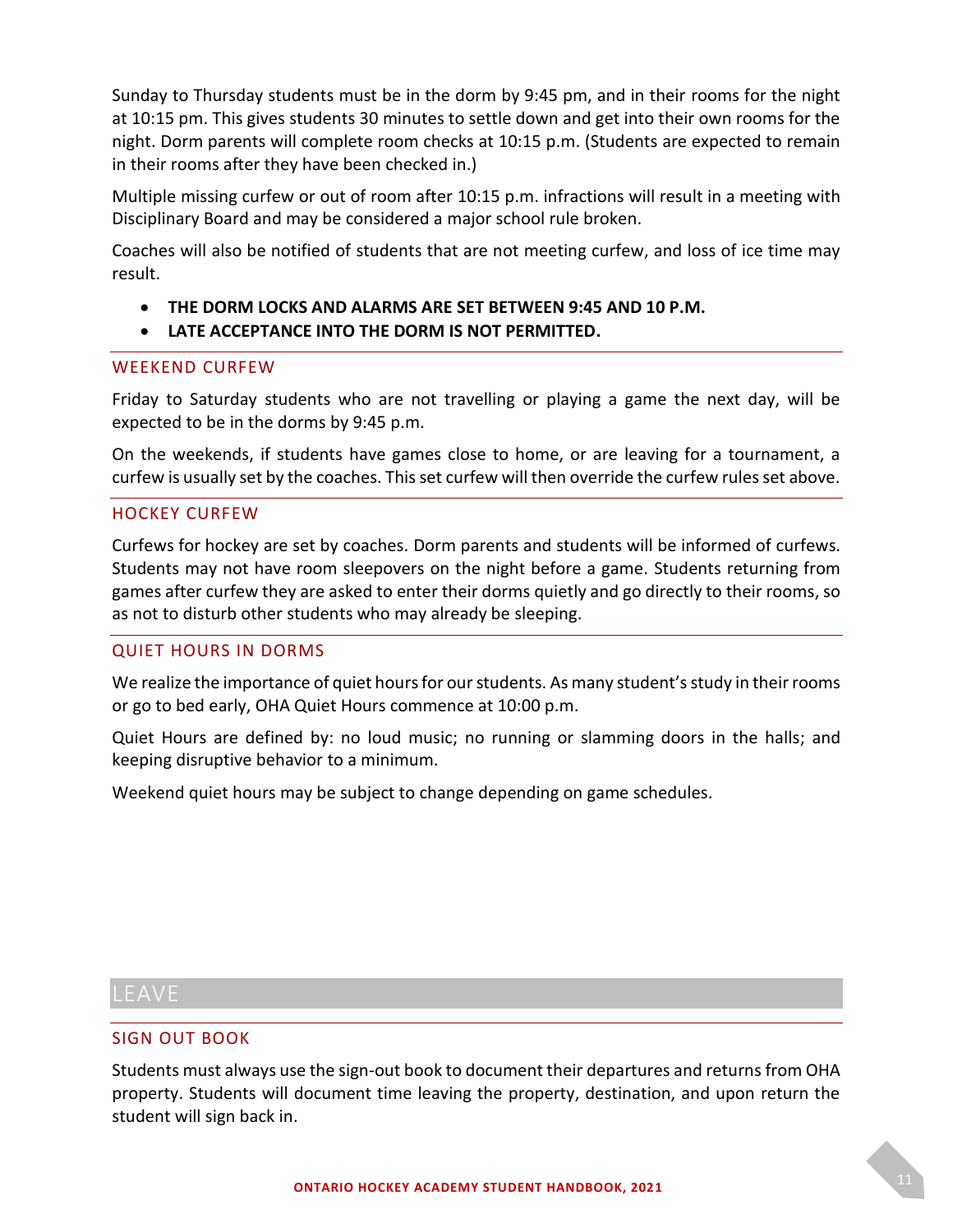Sunday to Thursday students must be in the dorm by 9:45 pm, and in their rooms for the night at 10:15 pm. This gives students 30 minutes to settle down and get into their own rooms for the night. Dorm parents will complete room checks at 10:15 p.m. (Students are expected to remain in their rooms after they have been checked in.)

Multiple missing curfew or out of room after 10:15 p.m. infractions will result in a meeting with Disciplinary Board and may be considered a major school rule broken.

Coaches will also be notified of students that are not meeting curfew, and loss of ice time may result.

- **THE DORM LOCKS AND ALARMS ARE SET BETWEEN 9:45 AND 10 P.M.**
- **LATE ACCEPTANCE INTO THE DORM IS NOT PERMITTED.**

#### <span id="page-10-0"></span>WEEKEND CURFEW

Friday to Saturday students who are not travelling or playing a game the next day, will be expected to be in the dorms by 9:45 p.m.

On the weekends, if students have games close to home, or are leaving for a tournament, a curfew is usually set by the coaches. This set curfew will then override the curfew rules set above.

#### <span id="page-10-1"></span>HOCKEY CURFEW

Curfews for hockey are set by coaches. Dorm parents and students will be informed of curfews. Students may not have room sleepovers on the night before a game. Students returning from games after curfew they are asked to enter their dorms quietly and go directly to their rooms, so as not to disturb other students who may already be sleeping.

#### <span id="page-10-2"></span>QUIET HOURS IN DORMS

We realize the importance of quiet hours for our students. As many student's study in their rooms or go to bed early, OHA Quiet Hours commence at 10:00 p.m.

Quiet Hours are defined by: no loud music; no running or slamming doors in the halls; and keeping disruptive behavior to a minimum.

Weekend quiet hours may be subject to change depending on game schedules.

# <span id="page-10-3"></span>LEAVE

#### <span id="page-10-4"></span>SIGN OUT BOOK

Students must always use the sign-out book to document their departures and returns from OHA property. Students will document time leaving the property, destination, and upon return the student will sign back in.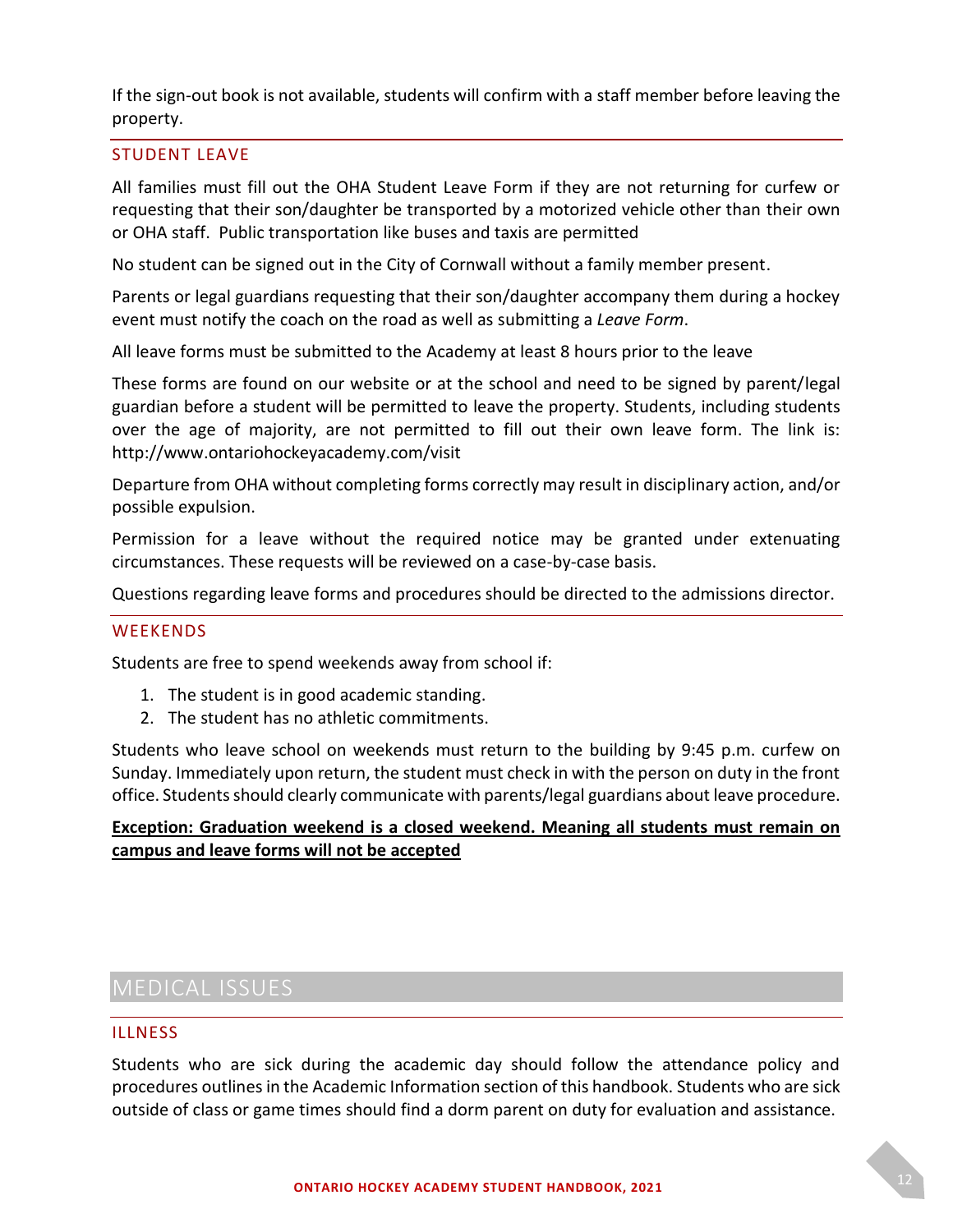If the sign-out book is not available, students will confirm with a staff member before leaving the property.

#### <span id="page-11-0"></span>STUDENT LEAVE

All families must fill out the OHA Student Leave Form if they are not returning for curfew or requesting that their son/daughter be transported by a motorized vehicle other than their own or OHA staff. Public transportation like buses and taxis are permitted

No student can be signed out in the City of Cornwall without a family member present.

Parents or legal guardians requesting that their son/daughter accompany them during a hockey event must notify the coach on the road as well as submitting a *Leave Form*.

All leave forms must be submitted to the Academy at least 8 hours prior to the leave

These forms are found on our website or at the school and need to be signed by parent/legal guardian before a student will be permitted to leave the property. Students, including students over the age of majority, are not permitted to fill out their own leave form. The link is: http://www.ontariohockeyacademy.com/visit

Departure from OHA without completing forms correctly may result in disciplinary action, and/or possible expulsion.

Permission for a leave without the required notice may be granted under extenuating circumstances. These requests will be reviewed on a case-by-case basis.

Questions regarding leave forms and procedures should be directed to the admissions director.

#### <span id="page-11-1"></span>**WEEKENDS**

Students are free to spend weekends away from school if:

- 1. The student is in good academic standing.
- 2. The student has no athletic commitments.

Students who leave school on weekends must return to the building by 9:45 p.m. curfew on Sunday. Immediately upon return, the student must check in with the person on duty in the front office. Students should clearly communicate with parents/legal guardians about leave procedure.

#### **Exception: Graduation weekend is a closed weekend. Meaning all students must remain on campus and leave forms will not be accepted**

# <span id="page-11-2"></span>MEDICAL ISSUES

#### <span id="page-11-3"></span>ILLNESS

Students who are sick during the academic day should follow the attendance policy and procedures outlines in the Academic Information section of this handbook. Students who are sick outside of class or game times should find a dorm parent on duty for evaluation and assistance.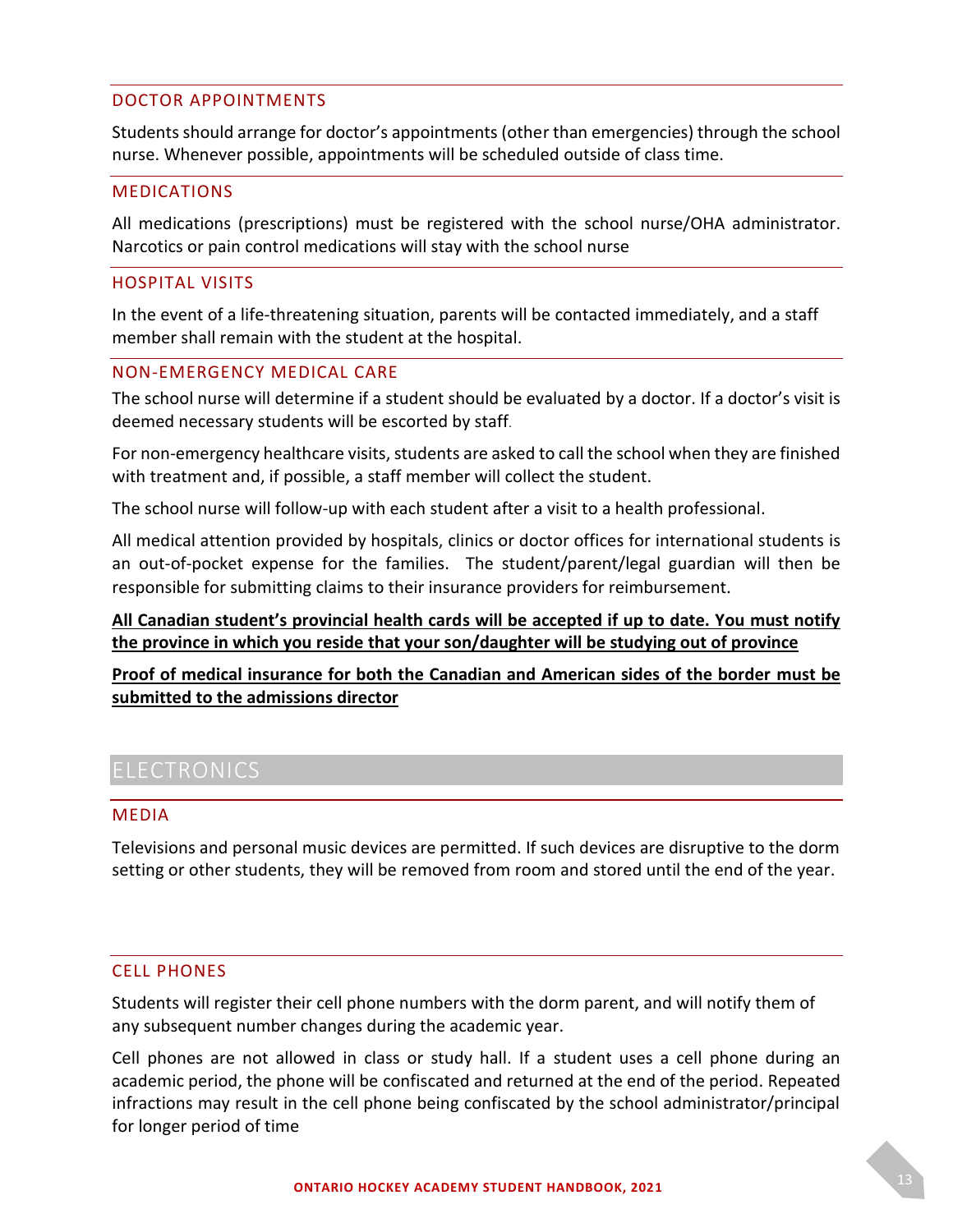#### <span id="page-12-0"></span>DOCTOR APPOINTMENTS

Students should arrange for doctor's appointments (other than emergencies) through the school nurse. Whenever possible, appointments will be scheduled outside of class time.

#### <span id="page-12-1"></span>MEDICATIONS

All medications (prescriptions) must be registered with the school nurse/OHA administrator. Narcotics or pain control medications will stay with the school nurse

#### <span id="page-12-2"></span>HOSPITAL VISITS

In the event of a life-threatening situation, parents will be contacted immediately, and a staff member shall remain with the student at the hospital.

#### <span id="page-12-3"></span>NON-EMERGENCY MEDICAL CARE

The school nurse will determine if a student should be evaluated by a doctor. If a doctor's visit is deemed necessary students will be escorted by staff.

For non-emergency healthcare visits, students are asked to call the school when they are finished with treatment and, if possible, a staff member will collect the student.

The school nurse will follow-up with each student after a visit to a health professional.

All medical attention provided by hospitals, clinics or doctor offices for international students is an out-of-pocket expense for the families. The student/parent/legal guardian will then be responsible for submitting claims to their insurance providers for reimbursement*.*

#### **All Canadian student's provincial health cards will be accepted if up to date. You must notify the province in which you reside that your son/daughter will be studying out of province**

**Proof of medical insurance for both the Canadian and American sides of the border must be submitted to the admissions director**

# <span id="page-12-4"></span>ELECTRONICS

#### <span id="page-12-5"></span>MEDIA

Televisions and personal music devices are permitted. If such devices are disruptive to the dorm setting or other students, they will be removed from room and stored until the end of the year.

#### <span id="page-12-6"></span>CELL PHONES

Students will register their cell phone numbers with the dorm parent, and will notify them of any subsequent number changes during the academic year.

Cell phones are not allowed in class or study hall. If a student uses a cell phone during an academic period, the phone will be confiscated and returned at the end of the period. Repeated infractions may result in the cell phone being confiscated by the school administrator/principal for longer period of time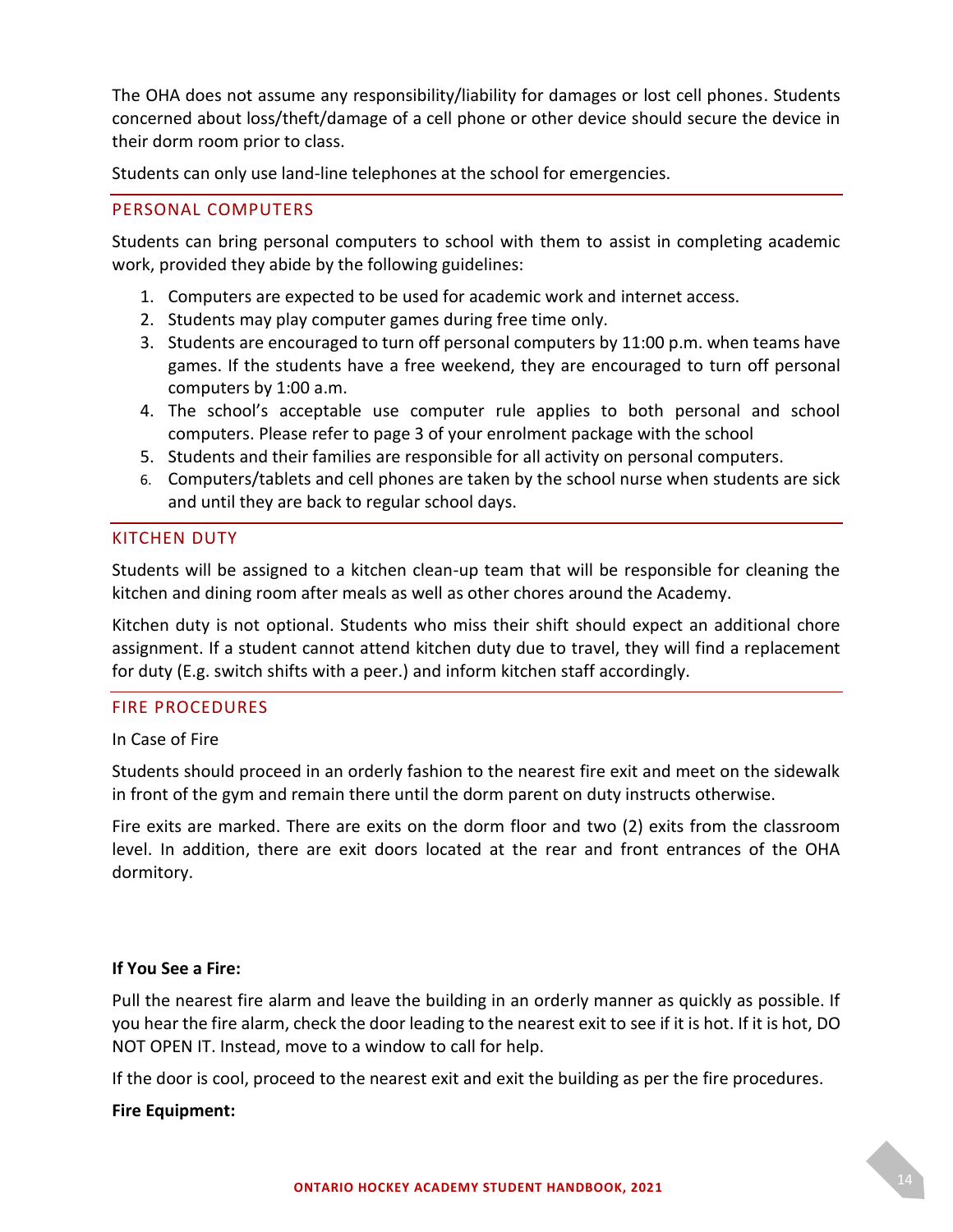The OHA does not assume any responsibility/liability for damages or lost cell phones. Students concerned about loss/theft/damage of a cell phone or other device should secure the device in their dorm room prior to class.

Students can only use land-line telephones at the school for emergencies.

#### <span id="page-13-0"></span>PERSONAL COMPUTERS

Students can bring personal computers to school with them to assist in completing academic work, provided they abide by the following guidelines:

- 1. Computers are expected to be used for academic work and internet access.
- 2. Students may play computer games during free time only.
- 3. Students are encouraged to turn off personal computers by 11:00 p.m. when teams have games. If the students have a free weekend, they are encouraged to turn off personal computers by 1:00 a.m.
- 4. The school's acceptable use computer rule applies to both personal and school computers. Please refer to page 3 of your enrolment package with the school
- 5. Students and their families are responsible for all activity on personal computers.
- 6. Computers/tablets and cell phones are taken by the school nurse when students are sick and until they are back to regular school days.

#### <span id="page-13-1"></span>KITCHEN DUTY

Students will be assigned to a kitchen clean-up team that will be responsible for cleaning the kitchen and dining room after meals as well as other chores around the Academy.

Kitchen duty is not optional. Students who miss their shift should expect an additional chore assignment. If a student cannot attend kitchen duty due to travel, they will find a replacement for duty (E.g. switch shifts with a peer.) and inform kitchen staff accordingly.

#### <span id="page-13-2"></span>FIRE PROCEDURES

#### In Case of Fire

Students should proceed in an orderly fashion to the nearest fire exit and meet on the sidewalk in front of the gym and remain there until the dorm parent on duty instructs otherwise.

Fire exits are marked. There are exits on the dorm floor and two (2) exits from the classroom level. In addition, there are exit doors located at the rear and front entrances of the OHA dormitory.

#### **If You See a Fire:**

Pull the nearest fire alarm and leave the building in an orderly manner as quickly as possible. If you hear the fire alarm, check the door leading to the nearest exit to see if it is hot. If it is hot, DO NOT OPEN IT. Instead, move to a window to call for help.

If the door is cool, proceed to the nearest exit and exit the building as per the fire procedures.

#### **Fire Equipment:**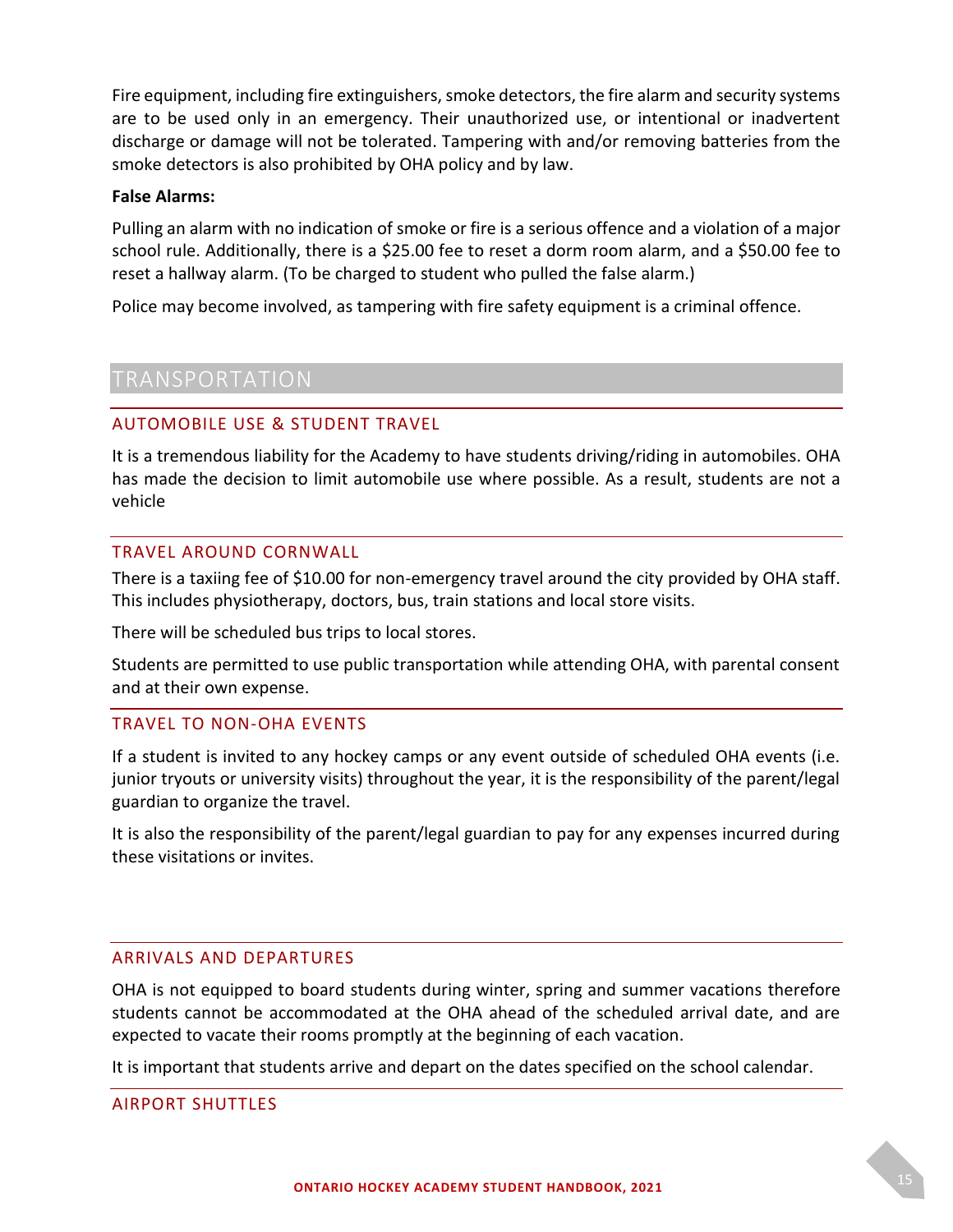Fire equipment, including fire extinguishers, smoke detectors, the fire alarm and security systems are to be used only in an emergency. Their unauthorized use, or intentional or inadvertent discharge or damage will not be tolerated. Tampering with and/or removing batteries from the smoke detectors is also prohibited by OHA policy and by law.

#### **False Alarms:**

Pulling an alarm with no indication of smoke or fire is a serious offence and a violation of a major school rule. Additionally, there is a \$25.00 fee to reset a dorm room alarm, and a \$50.00 fee to reset a hallway alarm. (To be charged to student who pulled the false alarm.)

Police may become involved, as tampering with fire safety equipment is a criminal offence.

# <span id="page-14-0"></span>TRANSPORTATION

#### <span id="page-14-1"></span>AUTOMOBILE USE & STUDENT TRAVEL

It is a tremendous liability for the Academy to have students driving/riding in automobiles. OHA has made the decision to limit automobile use where possible. As a result, students are not a vehicle

#### <span id="page-14-2"></span>TRAVEL AROUND CORNWALL

There is a taxiing fee of \$10.00 for non-emergency travel around the city provided by OHA staff. This includes physiotherapy, doctors, bus, train stations and local store visits.

There will be scheduled bus trips to local stores.

Students are permitted to use public transportation while attending OHA, with parental consent and at their own expense.

#### <span id="page-14-3"></span>TRAVEL TO NON-OHA EVENTS

If a student is invited to any hockey camps or any event outside of scheduled OHA events (i.e. junior tryouts or university visits) throughout the year, it is the responsibility of the parent/legal guardian to organize the travel.

It is also the responsibility of the parent/legal guardian to pay for any expenses incurred during these visitations or invites.

#### <span id="page-14-4"></span>ARRIVALS AND DEPARTURES

OHA is not equipped to board students during winter, spring and summer vacations therefore students cannot be accommodated at the OHA ahead of the scheduled arrival date, and are expected to vacate their rooms promptly at the beginning of each vacation.

It is important that students arrive and depart on the dates specified on the school calendar.

#### <span id="page-14-5"></span>AIRPORT SHUTTLES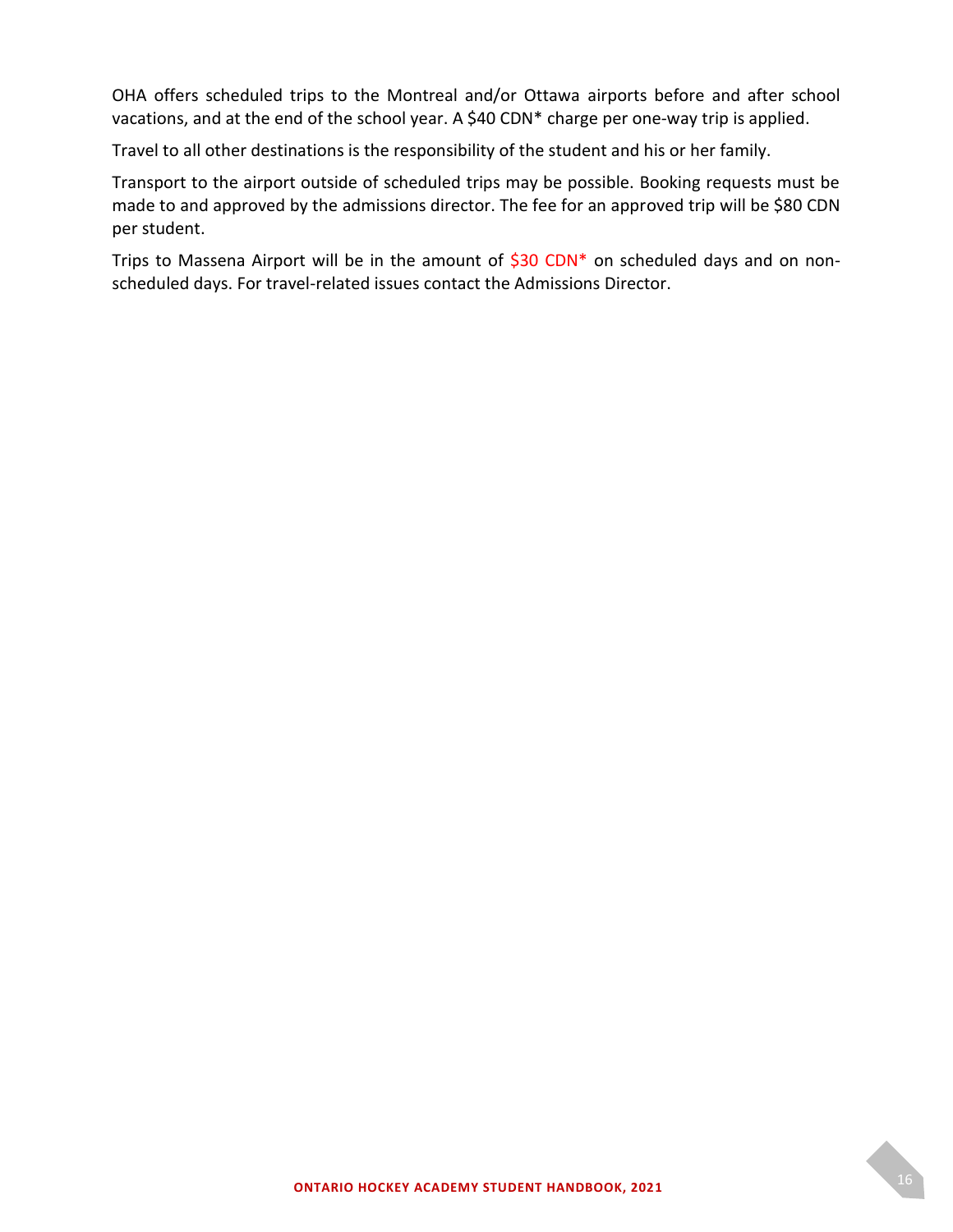OHA offers scheduled trips to the Montreal and/or Ottawa airports before and after school vacations, and at the end of the school year. A \$40 CDN\* charge per one-way trip is applied.

Travel to all other destinations is the responsibility of the student and his or her family.

Transport to the airport outside of scheduled trips may be possible. Booking requests must be made to and approved by the admissions director. The fee for an approved trip will be \$80 CDN per student.

Trips to Massena Airport will be in the amount of \$30 CDN\* on scheduled days and on nonscheduled days. For travel-related issues contact the Admissions Director.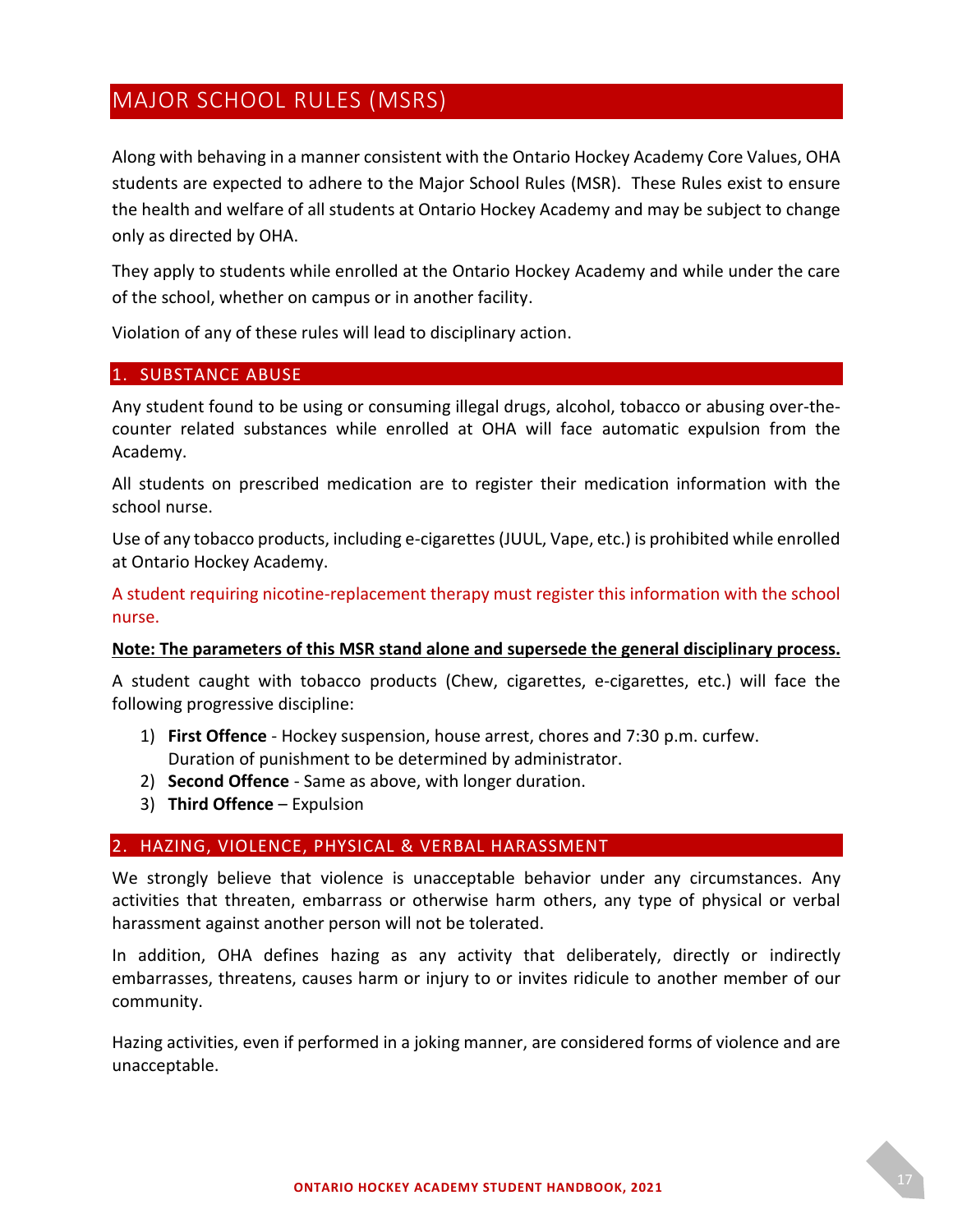# <span id="page-16-0"></span>MAJOR SCHOOL RULES (MSRS)

Along with behaving in a manner consistent with the Ontario Hockey Academy Core Values, OHA students are expected to adhere to the Major School Rules (MSR). These Rules exist to ensure the health and welfare of all students at Ontario Hockey Academy and may be subject to change only as directed by OHA.

They apply to students while enrolled at the Ontario Hockey Academy and while under the care of the school, whether on campus or in another facility.

Violation of any of these rules will lead to disciplinary action.

I

#### <span id="page-16-1"></span>1. SUBSTANCE ABUSE

Any student found to be using or consuming illegal drugs, alcohol, tobacco or abusing over-thecounter related substances while enrolled at OHA will face automatic expulsion from the Academy.

All students on prescribed medication are to register their medication information with the school nurse.

Use of any tobacco products, including e-cigarettes (JUUL, Vape, etc.) is prohibited while enrolled at Ontario Hockey Academy.

A student requiring nicotine-replacement therapy must register this information with the school nurse.

#### **Note: The parameters of this MSR stand alone and supersede the general disciplinary process.**

A student caught with tobacco products (Chew, cigarettes, e-cigarettes, etc.) will face the following progressive discipline:

- 1) **First Offence** Hockey suspension, house arrest, chores and 7:30 p.m. curfew. Duration of punishment to be determined by administrator.
- 2) **Second Offence** Same as above, with longer duration.
- 3) **Third Offence** Expulsion

#### <span id="page-16-2"></span>2. HAZING, VIOLENCE, PHYSICAL & VERBAL HARASSMENT

We strongly believe that violence is unacceptable behavior under any circumstances. Any activities that threaten, embarrass or otherwise harm others, any type of physical or verbal harassment against another person will not be tolerated.

In addition, OHA defines hazing as any activity that deliberately, directly or indirectly embarrasses, threatens, causes harm or injury to or invites ridicule to another member of our community.

Hazing activities, even if performed in a joking manner, are considered forms of violence and are unacceptable.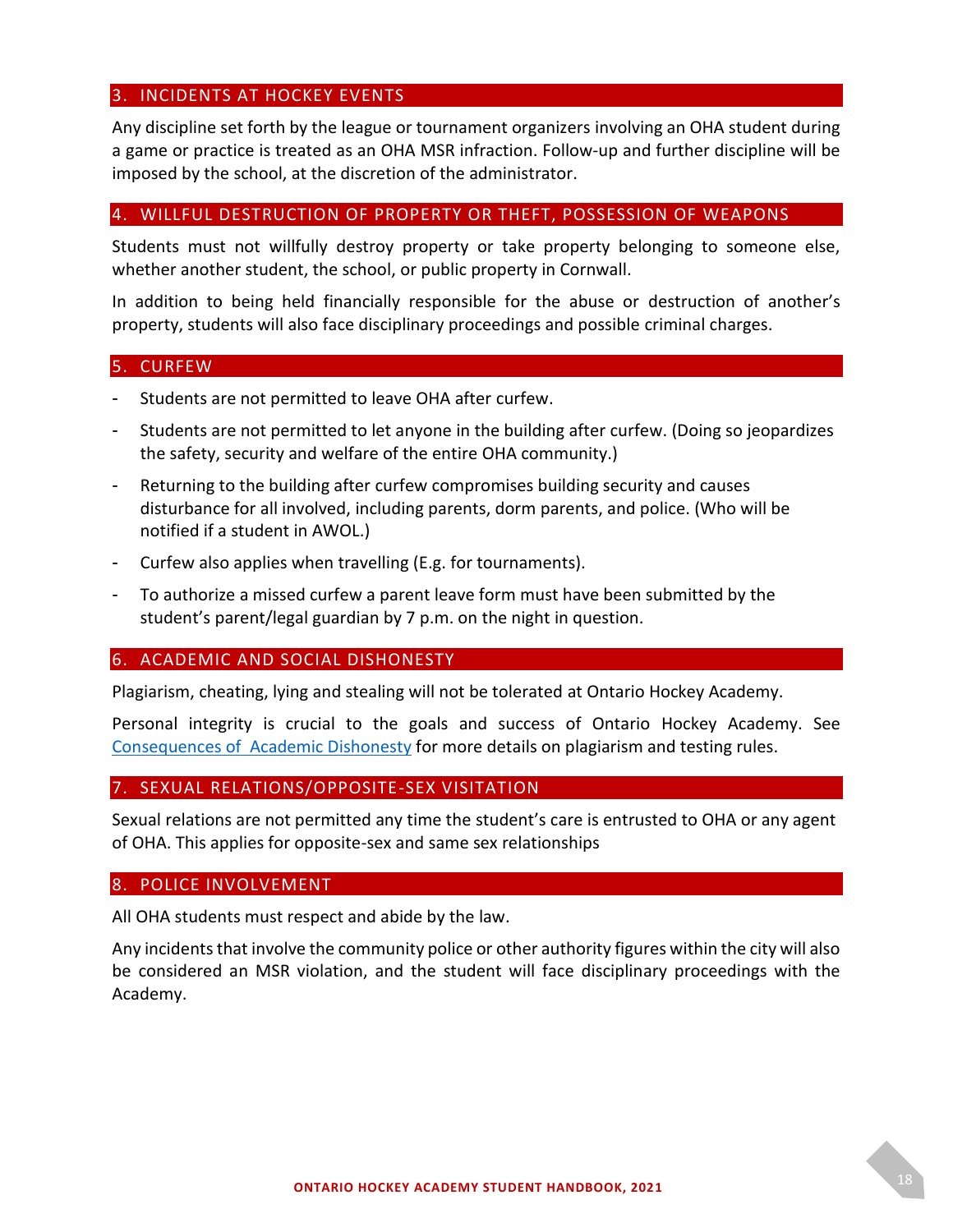#### <span id="page-17-0"></span>3. INCIDENTS AT HOCKEY EVENTS

Any discipline set forth by the league or tournament organizers involving an OHA student during a game or practice is treated as an OHA MSR infraction. Follow-up and further discipline will be imposed by the school, at the discretion of the administrator.

#### <span id="page-17-1"></span>4. WILLFUL DESTRUCTION OF PROPERTY OR THEFT, POSSESSION OF WEAPONS

Students must not willfully destroy property or take property belonging to someone else, whether another student, the school, or public property in Cornwall.

In addition to being held financially responsible for the abuse or destruction of another's property, students will also face disciplinary proceedings and possible criminal charges.

#### <span id="page-17-2"></span>5. CURFEW

- Students are not permitted to leave OHA after curfew.
- Students are not permitted to let anyone in the building after curfew. (Doing so jeopardizes the safety, security and welfare of the entire OHA community.)
- Returning to the building after curfew compromises building security and causes disturbance for all involved, including parents, dorm parents, and police. (Who will be notified if a student in AWOL.)
- Curfew also applies when travelling (E.g. for tournaments).
- To authorize a missed curfew a parent leave form must have been submitted by the student's parent/legal guardian by 7 p.m. on the night in question.

#### <span id="page-17-3"></span>6. ACADEMIC AND SOCIAL DISHONESTY

Plagiarism, cheating, lying and stealing will not be tolerated at Ontario Hockey Academy.

Personal integrity is crucial to the goals and success of Ontario Hockey Academy. See [Consequences of Academic Dishonesty](#page-27-0) for more details on plagiarism and testing rules.

#### <span id="page-17-4"></span>7. SEXUAL RELATIONS/OPPOSITE-SEX VISITATION

Sexual relations are not permitted any time the student's care is entrusted to OHA or any agent of OHA. This applies for opposite-sex and same sex relationships

#### <span id="page-17-5"></span>8. POLICE INVOLVEMENT

All OHA students must respect and abide by the law.

Any incidents that involve the community police or other authority figures within the city will also be considered an MSR violation, and the student will face disciplinary proceedings with the Academy.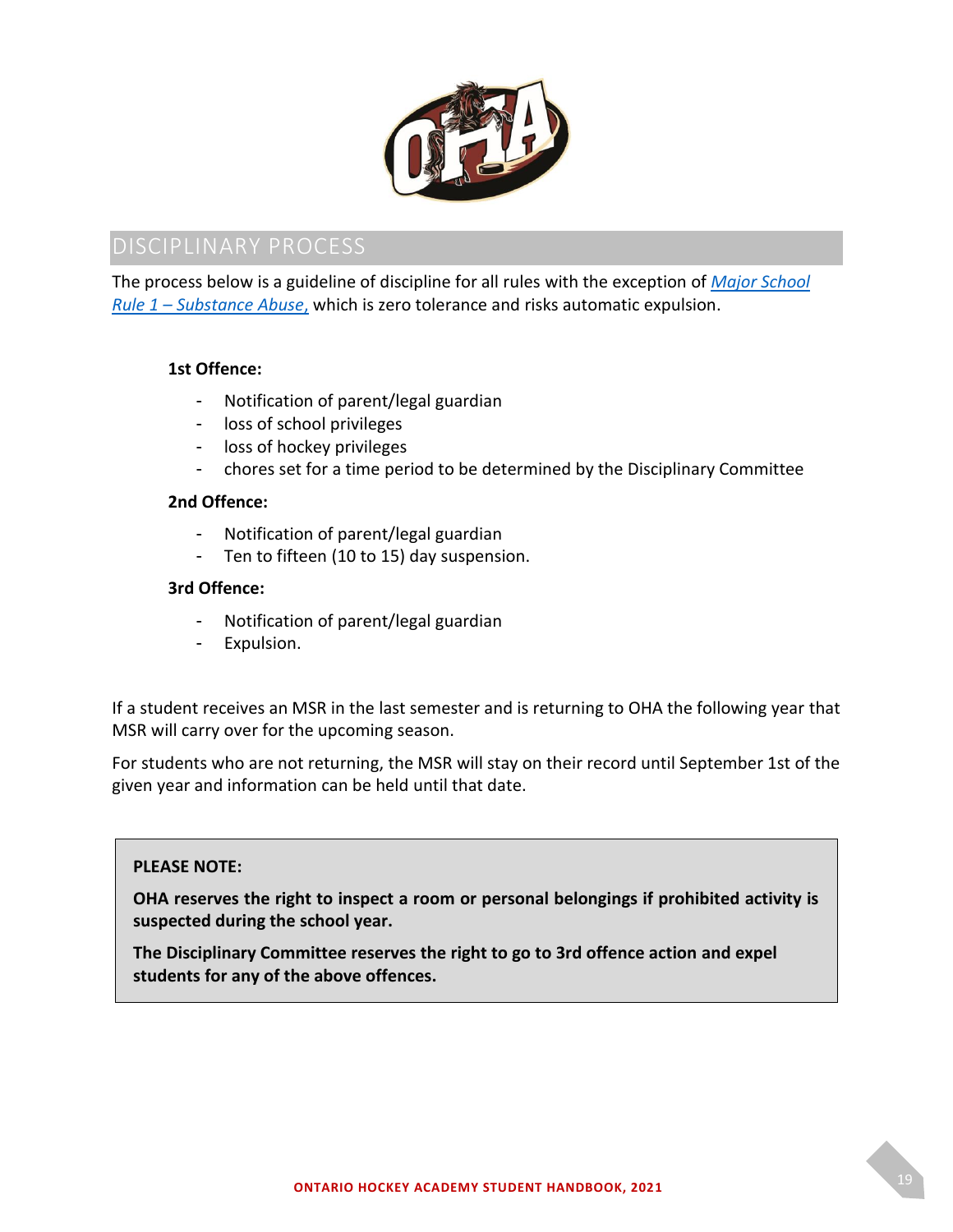

<span id="page-18-0"></span>The process below is a guideline of discipline for all rules with the exception of *[Major School](#page-16-1)  Rule 1 – [Substance Abuse](#page-16-1)*, which is zero tolerance and risks automatic expulsion.

#### **1st Offence:**

- Notification of parent/legal guardian
- loss of school privileges
- loss of hockey privileges
- chores set for a time period to be determined by the Disciplinary Committee

#### **2nd Offence:**

- Notification of parent/legal guardian
- Ten to fifteen (10 to 15) day suspension.

#### **3rd Offence:**

- Notification of parent/legal guardian
- Expulsion.

If a student receives an MSR in the last semester and is returning to OHA the following year that MSR will carry over for the upcoming season.

For students who are not returning, the MSR will stay on their record until September 1st of the given year and information can be held until that date.

#### **PLEASE NOTE:**

**OHA reserves the right to inspect a room or personal belongings if prohibited activity is suspected during the school year.** 

**The Disciplinary Committee reserves the right to go to 3rd offence action and expel students for any of the above offences.**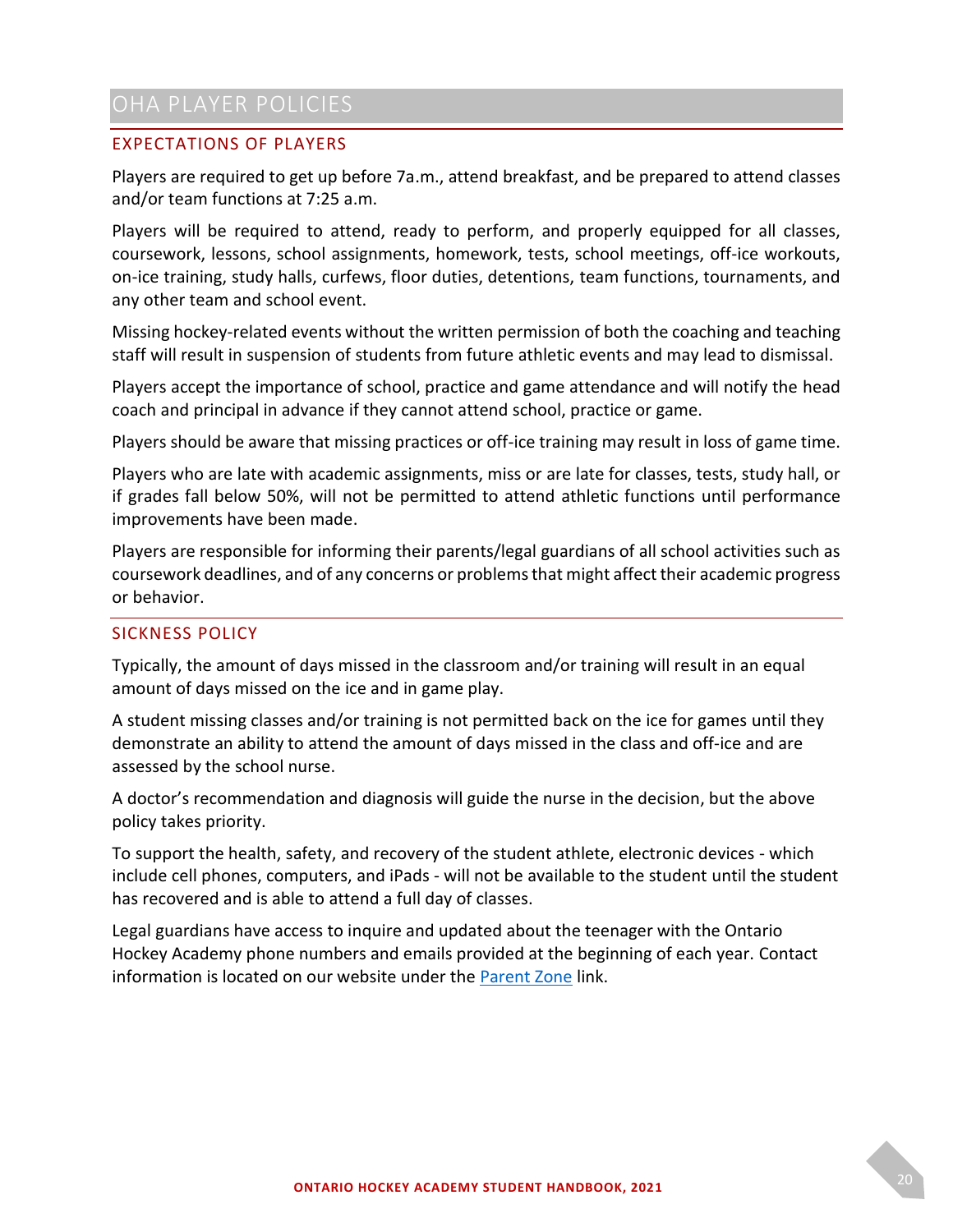# <span id="page-19-0"></span>OHA PLAYER POLICIES

### <span id="page-19-1"></span>EXPECTATIONS OF PLAYERS

Players are required to get up before 7a.m., attend breakfast, and be prepared to attend classes and/or team functions at 7:25 a.m.

Players will be required to attend, ready to perform, and properly equipped for all classes, coursework, lessons, school assignments, homework, tests, school meetings, off-ice workouts, on-ice training, study halls, curfews, floor duties, detentions, team functions, tournaments, and any other team and school event.

Missing hockey-related events without the written permission of both the coaching and teaching staff will result in suspension of students from future athletic events and may lead to dismissal.

Players accept the importance of school, practice and game attendance and will notify the head coach and principal in advance if they cannot attend school, practice or game.

Players should be aware that missing practices or off-ice training may result in loss of game time.

Players who are late with academic assignments, miss or are late for classes, tests, study hall, or if grades fall below 50%, will not be permitted to attend athletic functions until performance improvements have been made.

Players are responsible for informing their parents/legal guardians of all school activities such as coursework deadlines, and of any concerns or problems that might affect their academic progress or behavior.

#### <span id="page-19-2"></span>SICKNESS POLICY

Typically, the amount of days missed in the classroom and/or training will result in an equal amount of days missed on the ice and in game play.

A student missing classes and/or training is not permitted back on the ice for games until they demonstrate an ability to attend the amount of days missed in the class and off-ice and are assessed by the school nurse.

A doctor's recommendation and diagnosis will guide the nurse in the decision, but the above policy takes priority.

To support the health, safety, and recovery of the student athlete, electronic devices - which include cell phones, computers, and iPads - will not be available to the student until the student has recovered and is able to attend a full day of classes.

Legal guardians have access to inquire and updated about the teenager with the Ontario Hockey Academy phone numbers and emails provided at the beginning of each year. Contact information is located on our website under the [Parent Zone](https://www.ohacanada.com/forms) link.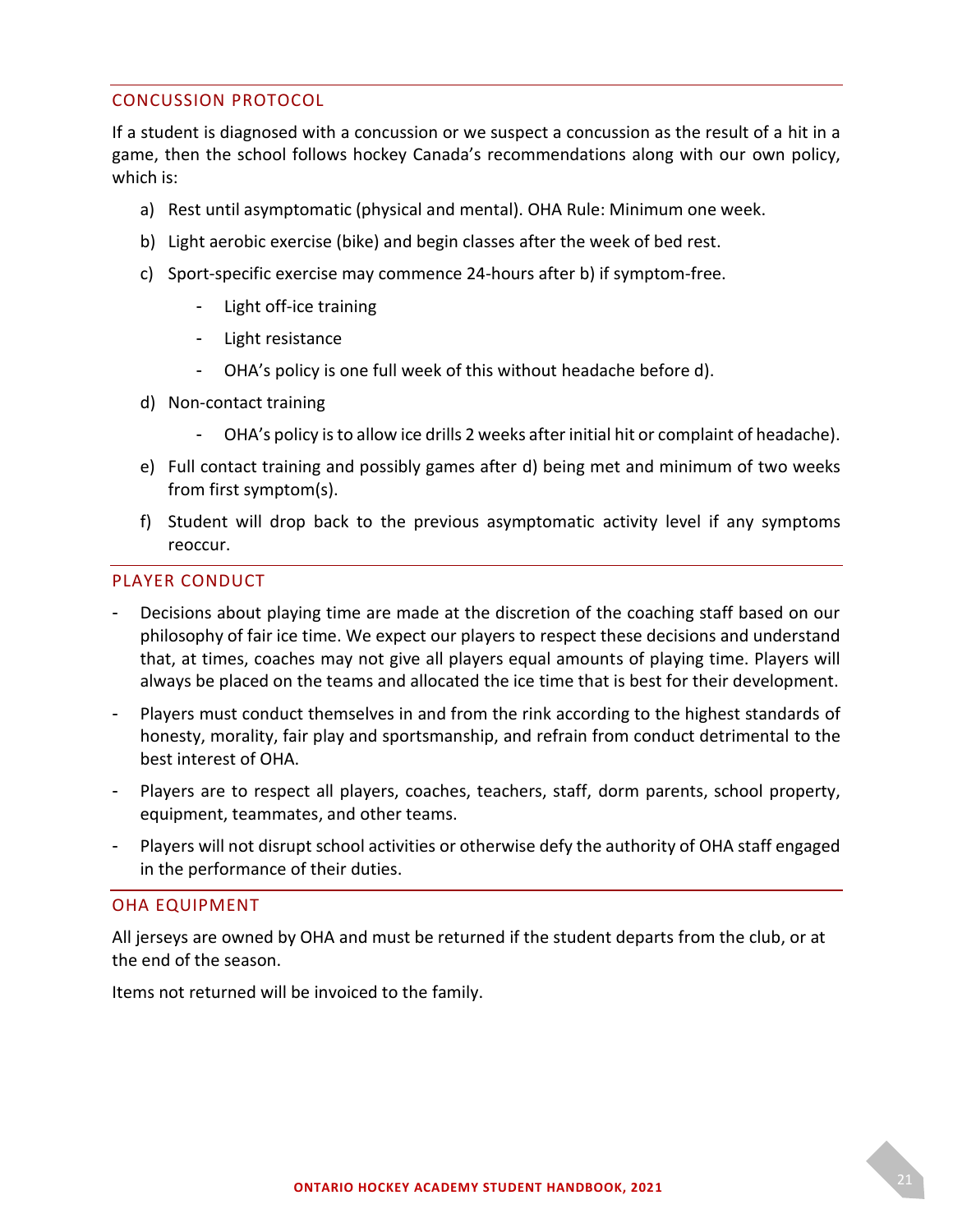#### <span id="page-20-0"></span>CONCUSSION PROTOCOL

If a student is diagnosed with a concussion or we suspect a concussion as the result of a hit in a game, then the school follows hockey Canada's recommendations along with our own policy, which is:

- a) Rest until asymptomatic (physical and mental). OHA Rule: Minimum one week.
- b) Light aerobic exercise (bike) and begin classes after the week of bed rest.
- c) Sport-specific exercise may commence 24-hours after b) if symptom-free.
	- Light off-ice training
	- Light resistance
	- OHA's policy is one full week of this without headache before d).
- d) Non-contact training
	- OHA's policy is to allow ice drills 2 weeks after initial hit or complaint of headache).
- e) Full contact training and possibly games after d) being met and minimum of two weeks from first symptom(s).
- f) Student will drop back to the previous asymptomatic activity level if any symptoms reoccur.

#### <span id="page-20-1"></span>PLAYER CONDUCT

- Decisions about playing time are made at the discretion of the coaching staff based on our philosophy of fair ice time. We expect our players to respect these decisions and understand that, at times, coaches may not give all players equal amounts of playing time. Players will always be placed on the teams and allocated the ice time that is best for their development.
- Players must conduct themselves in and from the rink according to the highest standards of honesty, morality, fair play and sportsmanship, and refrain from conduct detrimental to the best interest of OHA.
- Players are to respect all players, coaches, teachers, staff, dorm parents, school property, equipment, teammates, and other teams.
- Players will not disrupt school activities or otherwise defy the authority of OHA staff engaged in the performance of their duties.

#### <span id="page-20-2"></span>OHA EQUIPMENT

All jerseys are owned by OHA and must be returned if the student departs from the club, or at the end of the season.

Items not returned will be invoiced to the family.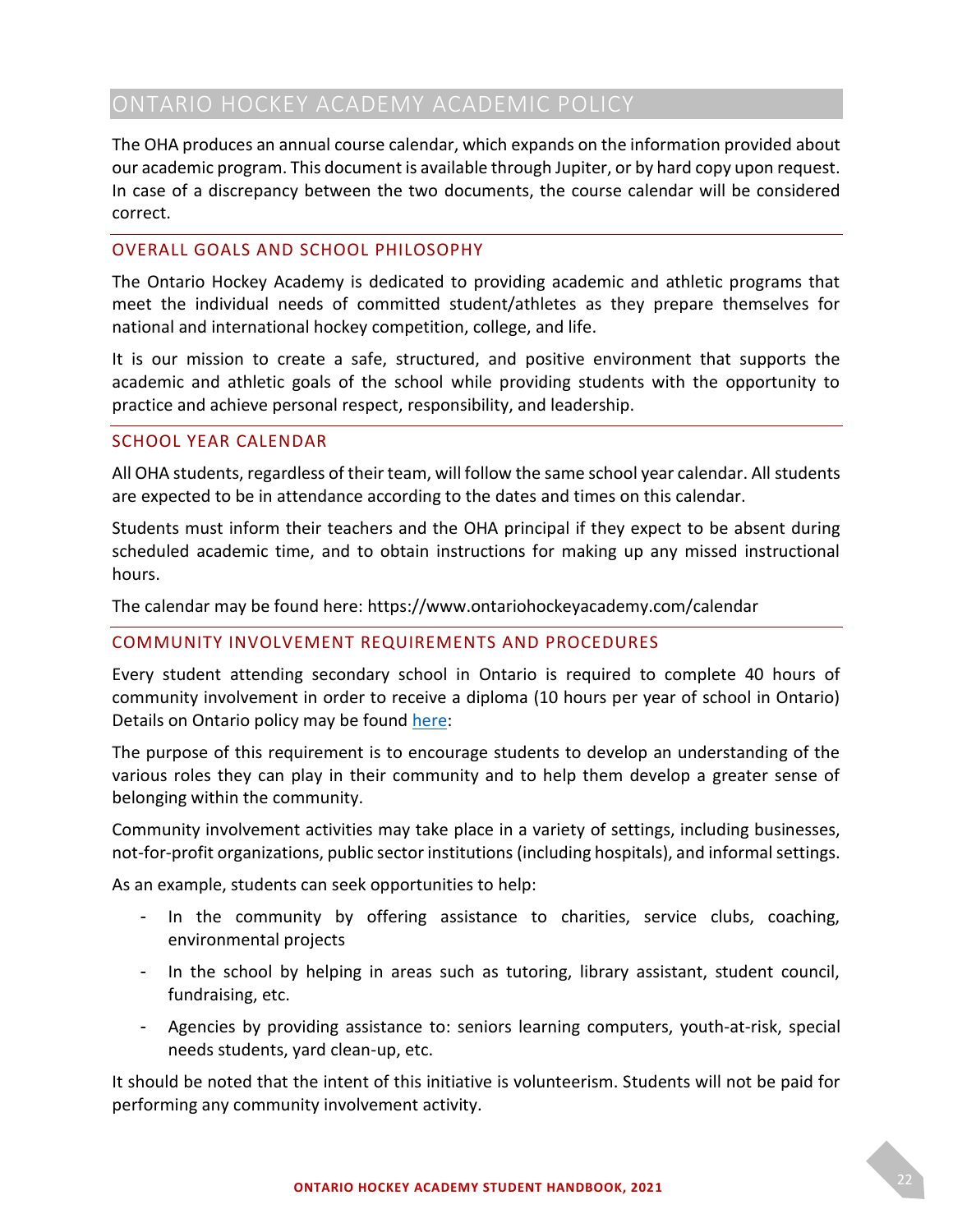# <span id="page-21-0"></span>ONTARIO HOCKEY ACADEMY ACADEMIC POLICY

The OHA produces an annual course calendar, which expands on the information provided about our academic program. This document is available through Jupiter, or by hard copy upon request. In case of a discrepancy between the two documents, the course calendar will be considered correct.

#### <span id="page-21-1"></span>OVERALL GOALS AND SCHOOL PHILOSOPHY

The Ontario Hockey Academy is dedicated to providing academic and athletic programs that meet the individual needs of committed student/athletes as they prepare themselves for national and international hockey competition, college, and life.

It is our mission to create a safe, structured, and positive environment that supports the academic and athletic goals of the school while providing students with the opportunity to practice and achieve personal respect, responsibility, and leadership.

#### <span id="page-21-2"></span>SCHOOL YEAR CALENDAR

All OHA students, regardless of their team, will follow the same school year calendar. All students are expected to be in attendance according to the dates and times on this calendar.

Students must inform their teachers and the OHA principal if they expect to be absent during scheduled academic time, and to obtain instructions for making up any missed instructional hours.

The calendar may be found here: https://www.ontariohockeyacademy.com/calendar

#### <span id="page-21-3"></span>COMMUNITY INVOLVEMENT REQUIREMENTS AND PROCEDURES

Every student attending secondary school in Ontario is required to complete 40 hours of community involvement in order to receive a diploma (10 hours per year of school in Ontario) Details on Ontario policy may be found [here:](http://www.edu.gov.on.ca/extra/eng/ppm/124a.html)

The purpose of this requirement is to encourage students to develop an understanding of the various roles they can play in their community and to help them develop a greater sense of belonging within the community.

Community involvement activities may take place in a variety of settings, including businesses, not-for-profit organizations, public sector institutions (including hospitals), and informal settings.

As an example, students can seek opportunities to help:

- In the community by offering assistance to charities, service clubs, coaching, environmental projects
- In the school by helping in areas such as tutoring, library assistant, student council, fundraising, etc.
- Agencies by providing assistance to: seniors learning computers, youth-at-risk, special needs students, yard clean-up, etc.

It should be noted that the intent of this initiative is volunteerism. Students will not be paid for performing any community involvement activity.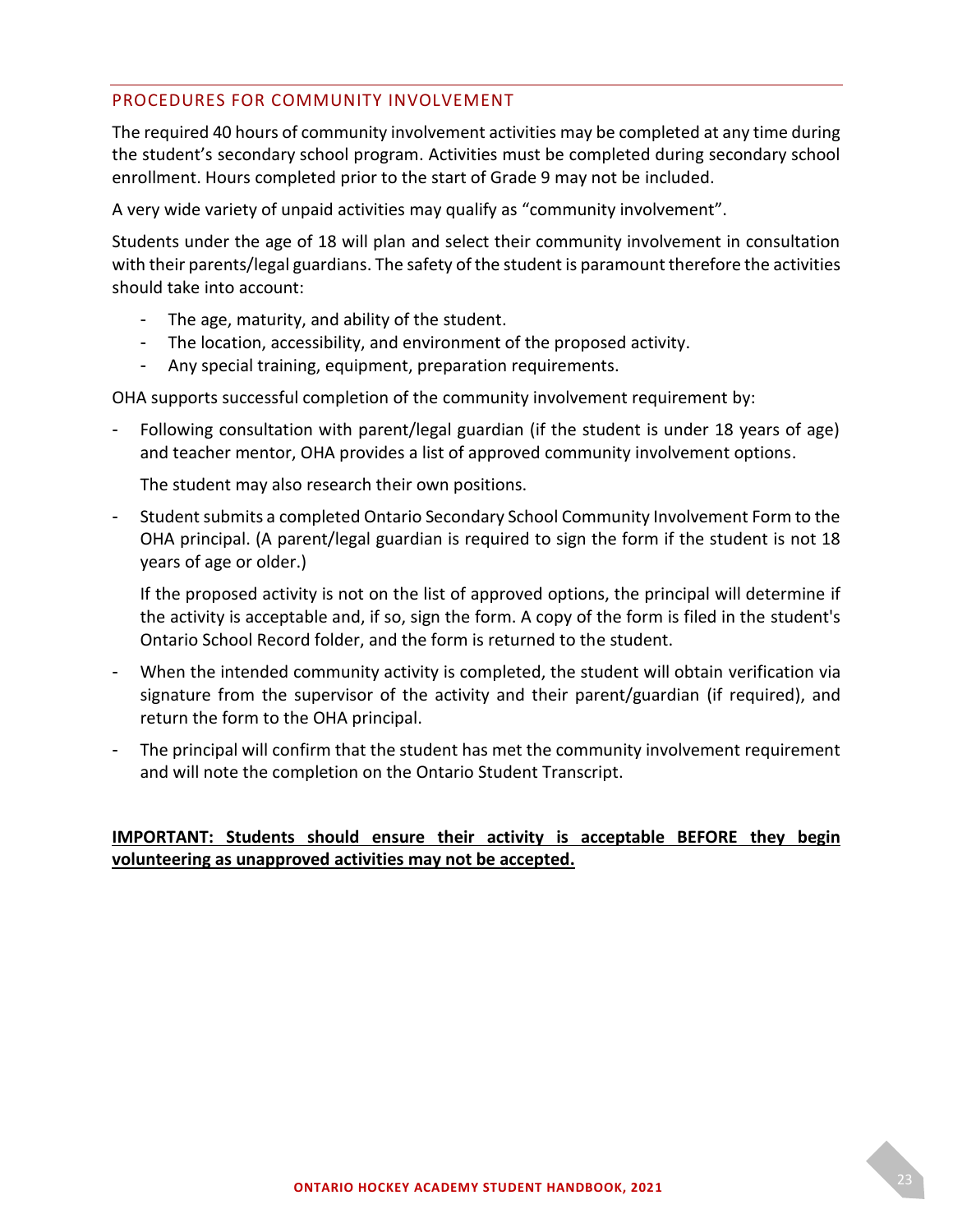#### <span id="page-22-0"></span>PROCEDURES FOR COMMUNITY INVOLVEMENT

The required 40 hours of community involvement activities may be completed at any time during the student's secondary school program. Activities must be completed during secondary school enrollment. Hours completed prior to the start of Grade 9 may not be included.

A very wide variety of unpaid activities may qualify as "community involvement".

Students under the age of 18 will plan and select their community involvement in consultation with their parents/legal guardians. The safety of the student is paramount therefore the activities should take into account:

- The age, maturity, and ability of the student.
- The location, accessibility, and environment of the proposed activity.
- Any special training, equipment, preparation requirements.

OHA supports successful completion of the community involvement requirement by:

Following consultation with parent/legal guardian (if the student is under 18 years of age) and teacher mentor, OHA provides a list of approved community involvement options.

The student may also research their own positions.

- Student submits a completed Ontario Secondary School Community Involvement Form to the OHA principal. (A parent/legal guardian is required to sign the form if the student is not 18 years of age or older.)

If the proposed activity is not on the list of approved options, the principal will determine if the activity is acceptable and, if so, sign the form. A copy of the form is filed in the student's Ontario School Record folder, and the form is returned to the student.

- When the intended community activity is completed, the student will obtain verification via signature from the supervisor of the activity and their parent/guardian (if required), and return the form to the OHA principal.
- The principal will confirm that the student has met the community involvement requirement and will note the completion on the Ontario Student Transcript.

### **IMPORTANT: Students should ensure their activity is acceptable BEFORE they begin volunteering as unapproved activities may not be accepted.**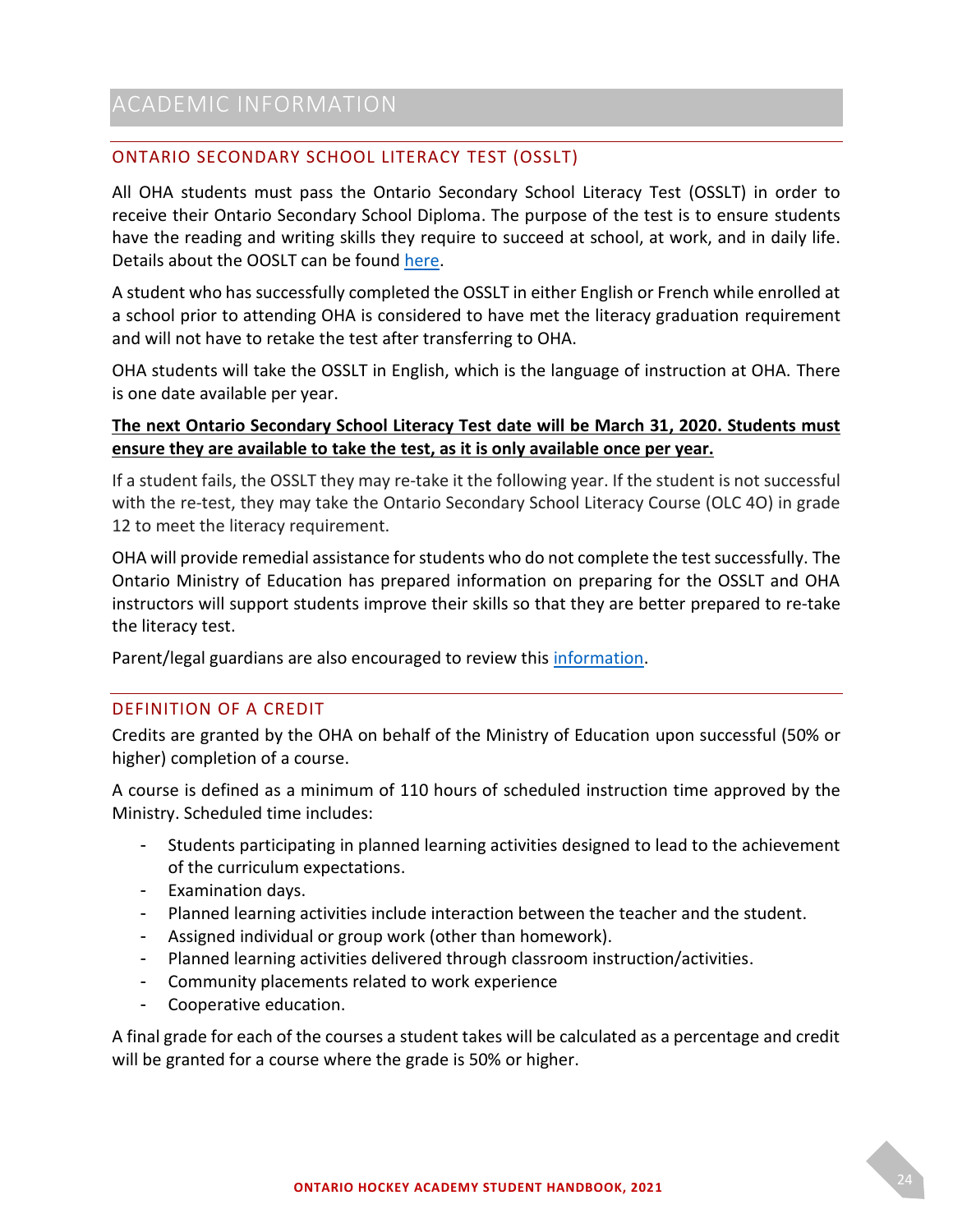### <span id="page-23-1"></span><span id="page-23-0"></span>ONTARIO SECONDARY SCHOOL LITERACY TEST (OSSLT)

All OHA students must pass the Ontario Secondary School Literacy Test (OSSLT) in order to receive their Ontario Secondary School Diploma. The purpose of the test is to ensure students have the reading and writing skills they require to succeed at school, at work, and in daily life. Details about the OOSLT can be found [here.](https://www.eqao.com/en/assessments/OSSLT/parents)

A student who has successfully completed the OSSLT in either English or French while enrolled at a school prior to attending OHA is considered to have met the literacy graduation requirement and will not have to retake the test after transferring to OHA.

OHA students will take the OSSLT in English, which is the language of instruction at OHA. There is one date available per year.

### **The next Ontario Secondary School Literacy Test date will be March 31, 2020. Students must ensure they are available to take the test, as it is only available once per year.**

If a student fails, the OSSLT they may re-take it the following year. If the student is not successful with the re-test, they may take the Ontario Secondary School Literacy Course (OLC 4O) in grade 12 to meet the literacy requirement.

OHA will provide remedial assistance for students who do not complete the test successfully. The Ontario Ministry of Education has prepared information on preparing for the OSSLT and OHA instructors will support students improve their skills so that they are better prepared to re-take the literacy test.

Parent/legal guardians are also encouraged to review this [information.](http://www.edu.gov.on.ca/eng/document/brochure/osslt/)

### <span id="page-23-2"></span>DEFINITION OF A CREDIT

Credits are granted by the OHA on behalf of the Ministry of Education upon successful (50% or higher) completion of a course.

A course is defined as a minimum of 110 hours of scheduled instruction time approved by the Ministry. Scheduled time includes:

- Students participating in planned learning activities designed to lead to the achievement of the curriculum expectations.
- Examination days.
- Planned learning activities include interaction between the teacher and the student.
- Assigned individual or group work (other than homework).
- Planned learning activities delivered through classroom instruction/activities.
- Community placements related to work experience
- Cooperative education.

A final grade for each of the courses a student takes will be calculated as a percentage and credit will be granted for a course where the grade is 50% or higher.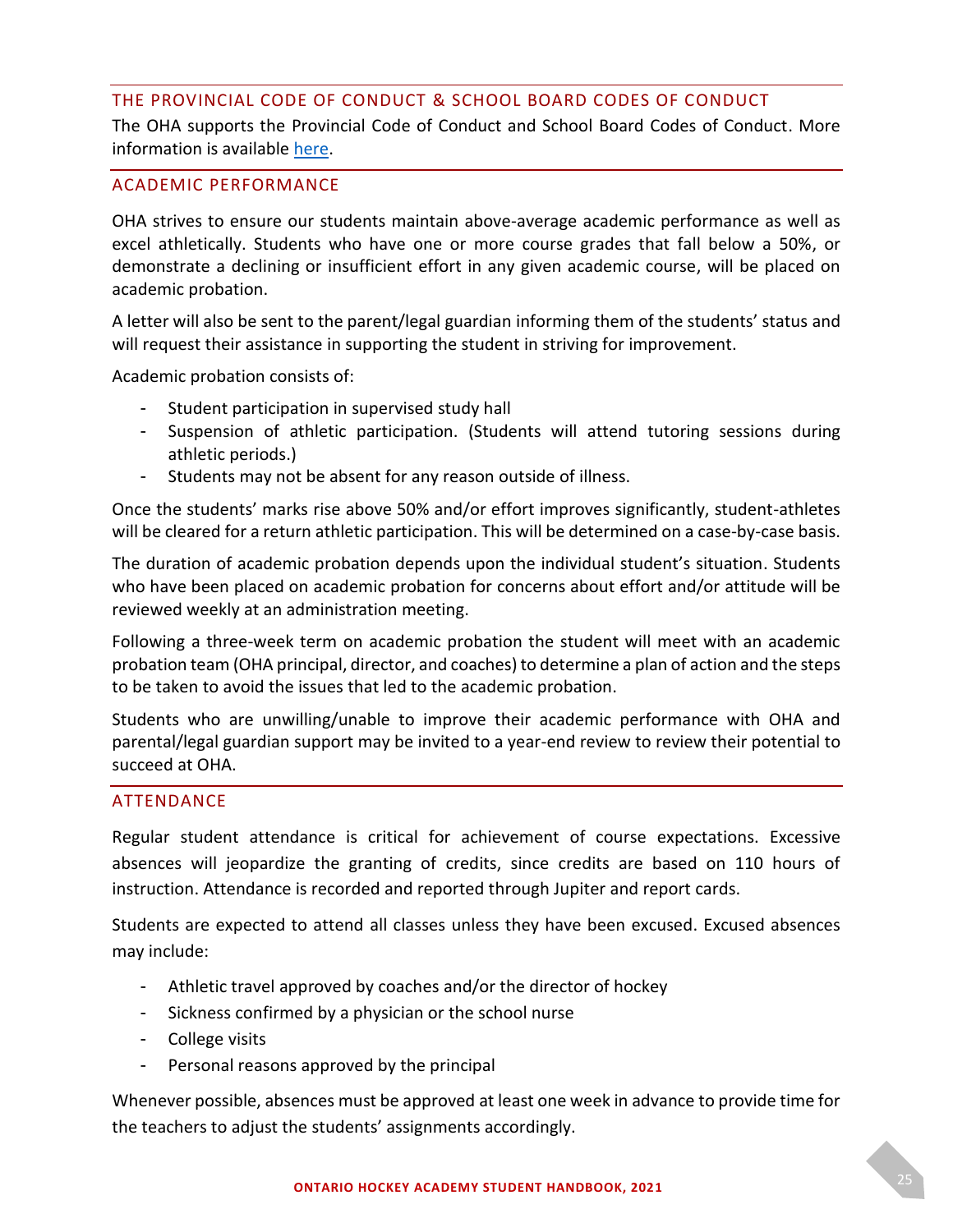#### <span id="page-24-0"></span>THE PROVINCIAL CODE OF CONDUCT & SCHOOL BOARD CODES OF CONDUCT

The OHA supports the Provincial Code of Conduct and School Board Codes of Conduct. More information is available [here.](http://www.edu.gov.on.ca/extra/eng/ppm/ppm-128-nov-2019.pdf)

#### <span id="page-24-1"></span>ACADEMIC PERFORMANCE

OHA strives to ensure our students maintain above-average academic performance as well as excel athletically. Students who have one or more course grades that fall below a 50%, or demonstrate a declining or insufficient effort in any given academic course, will be placed on academic probation.

A letter will also be sent to the parent/legal guardian informing them of the students' status and will request their assistance in supporting the student in striving for improvement.

Academic probation consists of:

- Student participation in supervised study hall
- Suspension of athletic participation. (Students will attend tutoring sessions during athletic periods.)
- Students may not be absent for any reason outside of illness.

Once the students' marks rise above 50% and/or effort improves significantly, student-athletes will be cleared for a return athletic participation. This will be determined on a case-by-case basis.

The duration of academic probation depends upon the individual student's situation. Students who have been placed on academic probation for concerns about effort and/or attitude will be reviewed weekly at an administration meeting.

Following a three-week term on academic probation the student will meet with an academic probation team (OHA principal, director, and coaches) to determine a plan of action and the steps to be taken to avoid the issues that led to the academic probation.

Students who are unwilling/unable to improve their academic performance with OHA and parental/legal guardian support may be invited to a year-end review to review their potential to succeed at OHA.

#### <span id="page-24-2"></span>ATTENDANCE

Regular student attendance is critical for achievement of course expectations. Excessive absences will jeopardize the granting of credits, since credits are based on 110 hours of instruction. Attendance is recorded and reported through Jupiter and report cards.

Students are expected to attend all classes unless they have been excused. Excused absences may include:

- Athletic travel approved by coaches and/or the director of hockey
- Sickness confirmed by a physician or the school nurse
- College visits
- Personal reasons approved by the principal

Whenever possible, absences must be approved at least one week in advance to provide time for the teachers to adjust the students' assignments accordingly.

**ONTARIO HOCKEY ACADEMY STUDENT HANDBOOK, 2021**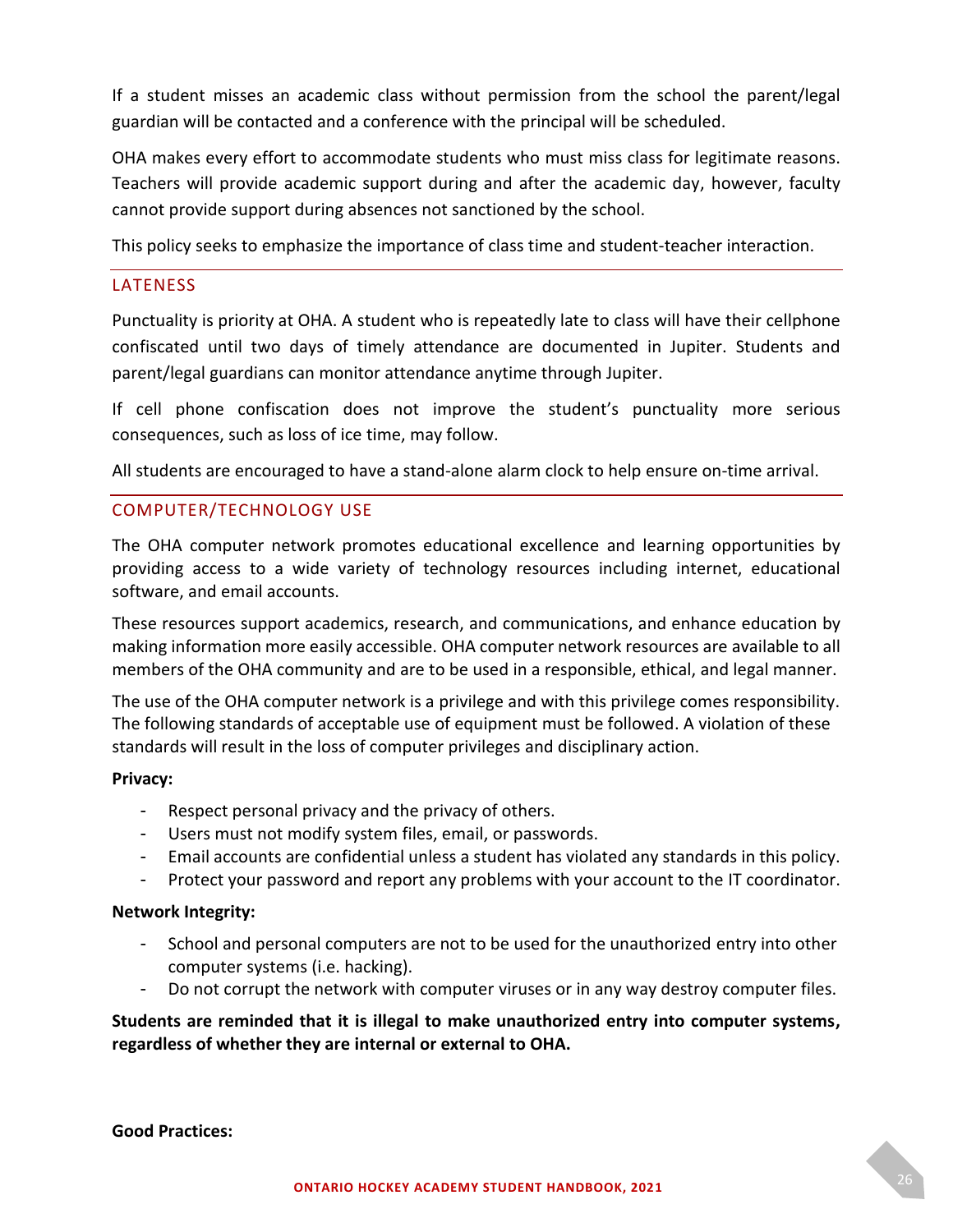If a student misses an academic class without permission from the school the parent/legal guardian will be contacted and a conference with the principal will be scheduled.

OHA makes every effort to accommodate students who must miss class for legitimate reasons. Teachers will provide academic support during and after the academic day, however, faculty cannot provide support during absences not sanctioned by the school.

This policy seeks to emphasize the importance of class time and student-teacher interaction.

#### <span id="page-25-0"></span>LATENESS

Punctuality is priority at OHA. A student who is repeatedly late to class will have their cellphone confiscated until two days of timely attendance are documented in Jupiter. Students and parent/legal guardians can monitor attendance anytime through Jupiter.

If cell phone confiscation does not improve the student's punctuality more serious consequences, such as loss of ice time, may follow.

All students are encouraged to have a stand-alone alarm clock to help ensure on-time arrival.

#### <span id="page-25-1"></span>COMPUTER/TECHNOLOGY USE

The OHA computer network promotes educational excellence and learning opportunities by providing access to a wide variety of technology resources including internet, educational software, and email accounts.

These resources support academics, research, and communications, and enhance education by making information more easily accessible. OHA computer network resources are available to all members of the OHA community and are to be used in a responsible, ethical, and legal manner.

The use of the OHA computer network is a privilege and with this privilege comes responsibility. The following standards of acceptable use of equipment must be followed. A violation of these standards will result in the loss of computer privileges and disciplinary action.

#### **Privacy:**

- Respect personal privacy and the privacy of others.
- Users must not modify system files, email, or passwords.
- Email accounts are confidential unless a student has violated any standards in this policy.
- Protect your password and report any problems with your account to the IT coordinator.

#### **Network Integrity:**

- School and personal computers are not to be used for the unauthorized entry into other computer systems (i.e. hacking).
- Do not corrupt the network with computer viruses or in any way destroy computer files.

#### **Students are reminded that it is illegal to make unauthorized entry into computer systems, regardless of whether they are internal or external to OHA.**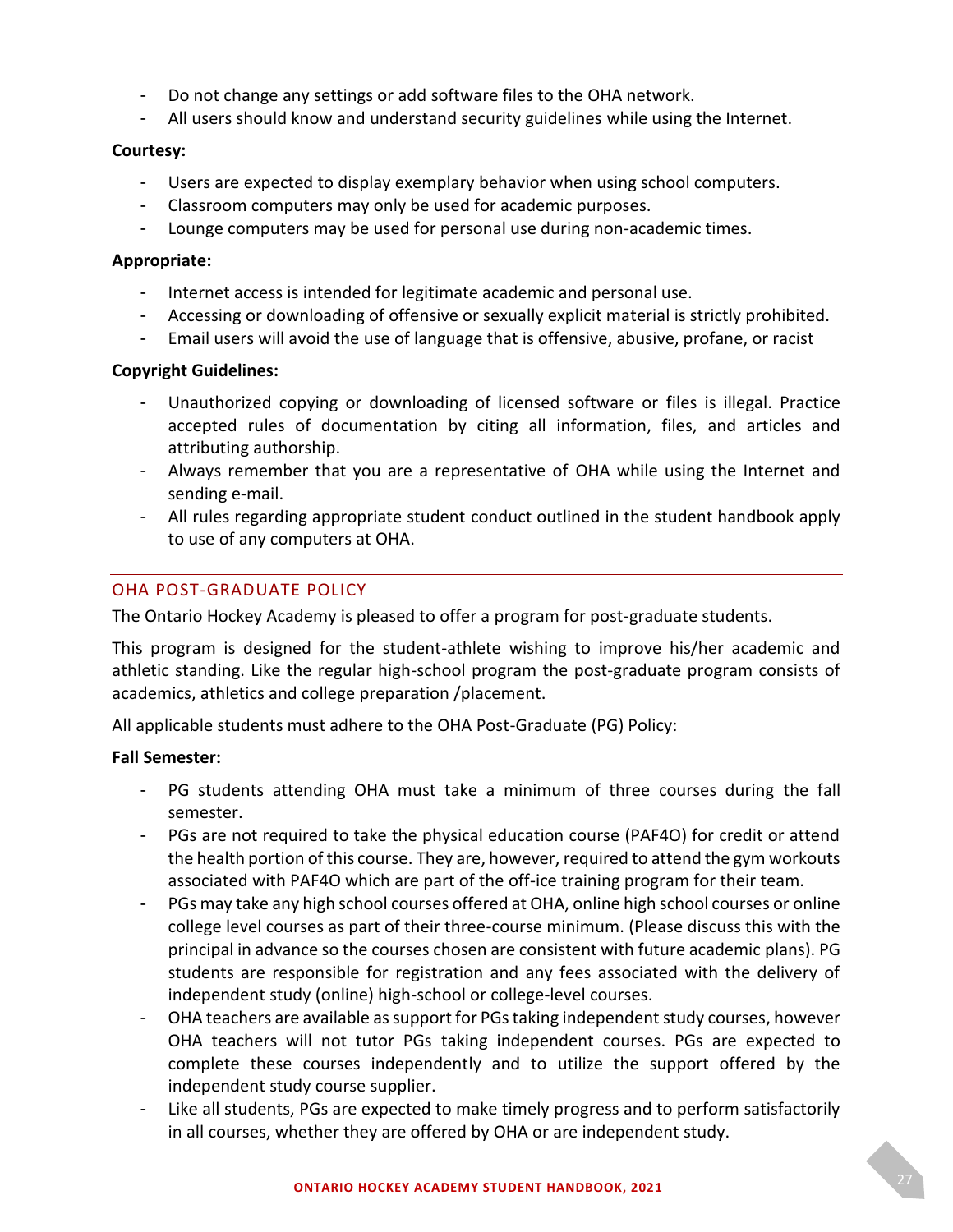- Do not change any settings or add software files to the OHA network.
- All users should know and understand security guidelines while using the Internet.

#### **Courtesy:**

- Users are expected to display exemplary behavior when using school computers.
- Classroom computers may only be used for academic purposes.
- Lounge computers may be used for personal use during non-academic times.

#### **Appropriate:**

- Internet access is intended for legitimate academic and personal use.
- Accessing or downloading of offensive or sexually explicit material is strictly prohibited.
- Email users will avoid the use of language that is offensive, abusive, profane, or racist

#### **Copyright Guidelines:**

- Unauthorized copying or downloading of licensed software or files is illegal. Practice accepted rules of documentation by citing all information, files, and articles and attributing authorship.
- Always remember that you are a representative of OHA while using the Internet and sending e-mail.
- All rules regarding appropriate student conduct outlined in the student handbook apply to use of any computers at OHA.

### <span id="page-26-0"></span>OHA POST-GRADUATE POLICY

The Ontario Hockey Academy is pleased to offer a program for post-graduate students.

This program is designed for the student-athlete wishing to improve his/her academic and athletic standing. Like the regular high-school program the post-graduate program consists of academics, athletics and college preparation /placement.

All applicable students must adhere to the OHA Post-Graduate (PG) Policy:

#### **Fall Semester:**

- PG students attending OHA must take a minimum of three courses during the fall semester.
- PGs are not required to take the physical education course (PAF4O) for credit or attend the health portion of this course. They are, however, required to attend the gym workouts associated with PAF4O which are part of the off-ice training program for their team.
- PGs may take any high school courses offered at OHA, online high school courses or online college level courses as part of their three-course minimum. (Please discuss this with the principal in advance so the courses chosen are consistent with future academic plans). PG students are responsible for registration and any fees associated with the delivery of independent study (online) high-school or college-level courses.
- OHA teachers are available as support for PGs taking independent study courses, however OHA teachers will not tutor PGs taking independent courses. PGs are expected to complete these courses independently and to utilize the support offered by the independent study course supplier.
- Like all students, PGs are expected to make timely progress and to perform satisfactorily in all courses, whether they are offered by OHA or are independent study.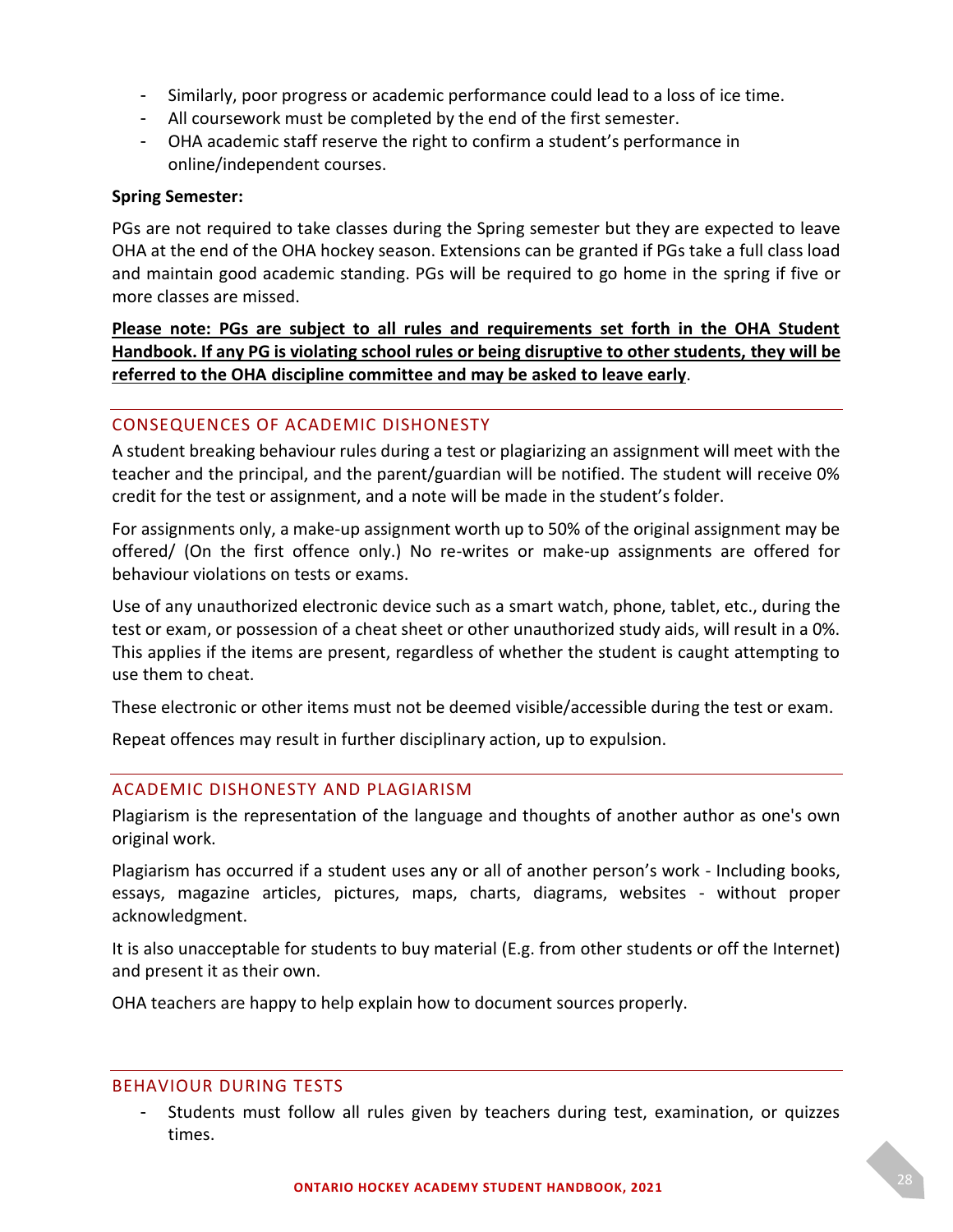- Similarly, poor progress or academic performance could lead to a loss of ice time.
- All coursework must be completed by the end of the first semester.
- OHA academic staff reserve the right to confirm a student's performance in online/independent courses.

#### **Spring Semester:**

PGs are not required to take classes during the Spring semester but they are expected to leave OHA at the end of the OHA hockey season. Extensions can be granted if PGs take a full class load and maintain good academic standing. PGs will be required to go home in the spring if five or more classes are missed.

### **Please note: PGs are subject to all rules and requirements set forth in the OHA Student Handbook. If any PG is violating school rules or being disruptive to other students, they will be referred to the OHA discipline committee and may be asked to leave early**.

#### <span id="page-27-0"></span>CONSEQUENCES OF ACADEMIC DISHONESTY

A student breaking behaviour rules during a test or plagiarizing an assignment will meet with the teacher and the principal, and the parent/guardian will be notified. The student will receive 0% credit for the test or assignment, and a note will be made in the student's folder.

For assignments only, a make-up assignment worth up to 50% of the original assignment may be offered/ (On the first offence only.) No re-writes or make-up assignments are offered for behaviour violations on tests or exams.

Use of any unauthorized electronic device such as a smart watch, phone, tablet, etc., during the test or exam, or possession of a cheat sheet or other unauthorized study aids, will result in a 0%. This applies if the items are present, regardless of whether the student is caught attempting to use them to cheat.

These electronic or other items must not be deemed visible/accessible during the test or exam.

Repeat offences may result in further disciplinary action, up to expulsion.

#### <span id="page-27-1"></span>ACADEMIC DISHONESTY AND PLAGIARISM

Plagiarism is the representation of the language and thoughts of another author as one's own original work.

Plagiarism has occurred if a student uses any or all of another person's work - Including books, essays, magazine articles, pictures, maps, charts, diagrams, websites - without proper acknowledgment.

It is also unacceptable for students to buy material (E.g. from other students or off the Internet) and present it as their own.

OHA teachers are happy to help explain how to document sources properly.

#### <span id="page-27-2"></span>BEHAVIOUR DURING TESTS

Students must follow all rules given by teachers during test, examination, or quizzes times.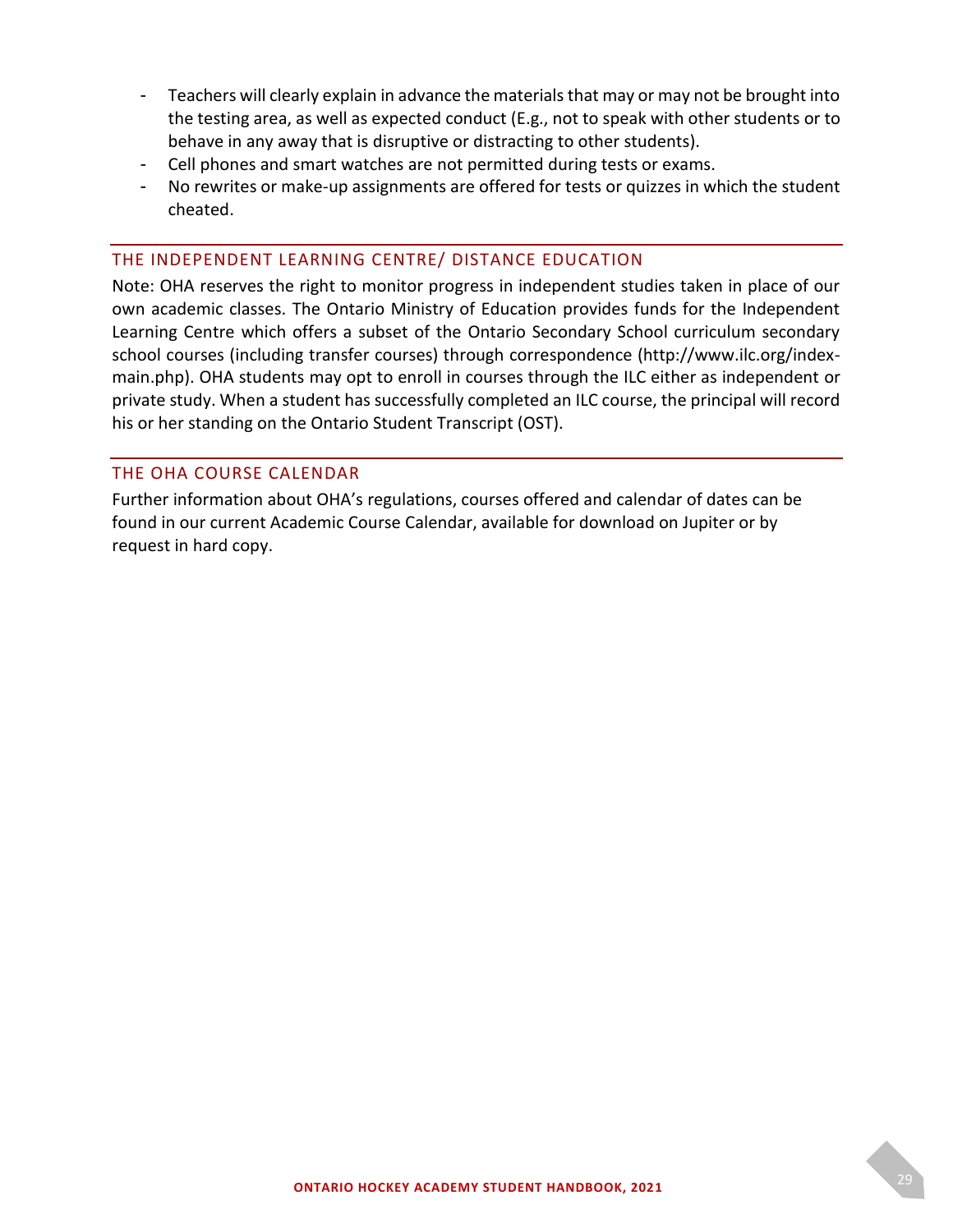- Teachers will clearly explain in advance the materials that may or may not be brought into the testing area, as well as expected conduct (E.g., not to speak with other students or to behave in any away that is disruptive or distracting to other students).
- Cell phones and smart watches are not permitted during tests or exams.
- No rewrites or make-up assignments are offered for tests or quizzes in which the student cheated.

#### <span id="page-28-0"></span>THE INDEPENDENT LEARNING CENTRE/ DISTANCE EDUCATION

Note: OHA reserves the right to monitor progress in independent studies taken in place of our own academic classes. The Ontario Ministry of Education provides funds for the Independent Learning Centre which offers a subset of the Ontario Secondary School curriculum secondary school courses (including transfer courses) through correspondence (http://www.ilc.org/indexmain.php). OHA students may opt to enroll in courses through the ILC either as independent or private study. When a student has successfully completed an ILC course, the principal will record his or her standing on the Ontario Student Transcript (OST).

#### <span id="page-28-1"></span>THE OHA COURSE CALENDAR

Further information about OHA's regulations, courses offered and calendar of dates can be found in our current Academic Course Calendar, available for download on Jupiter or by request in hard copy.